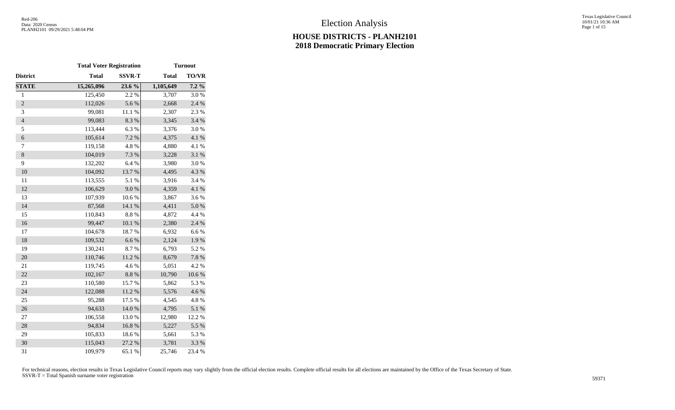Texas Legislative Council 10/01/21 10:36 AM Page 1 of 15

|                  | <b>Total Voter Registration</b> |               |              | <b>Turnout</b> |
|------------------|---------------------------------|---------------|--------------|----------------|
| District         | <b>Total</b>                    | <b>SSVR-T</b> | <b>Total</b> | TO/VR          |
| <b>STATE</b>     | 15,265,096                      | 23.6 %        | 1,105,649    | $7.2\%$        |
| $\,1$            | 125,450                         | 2.2 %         | 3,707        | 3.0%           |
| $\overline{c}$   | 112,026                         | 5.6%          | 2,668        | 2.4 %          |
| 3                | 99,081                          | 11.1 %        | 2,307        | 2.3%           |
| $\overline{4}$   | 99,083                          | 8.3 %         | 3,345        | 3.4 %          |
| 5                | 113,444                         | 6.3%          | 3,376        | 3.0%           |
| $\boldsymbol{6}$ | 105,614                         | 7.2 %         | 4,375        | $4.1~\%$       |
| 7                | 119,158                         | 4.8 %         | 4,880        | 4.1 %          |
| $8\,$            | 104,019                         | 7.3 %         | 3,228        | 3.1 %          |
| 9                | 132,202                         | 6.4 %         | 3,980        | 3.0%           |
| 10               | 104,092                         | 13.7%         | 4,495        | 4.3 %          |
| 11               | 113,555                         | 5.1 %         | 3,916        | 3.4 %          |
| 12               | 106,629                         | $9.0\;\%$     | 4,359        | 4.1 %          |
| 13               | 107,939                         | 10.6 %        | 3,867        | 3.6%           |
| 14               | 87,568                          | 14.1 %        | 4,411        | 5.0%           |
| 15               | 110,843                         | 8.8 %         | 4,872        | 4.4 %          |
| 16               | 99,447                          | $10.1~\%$     | 2,380        | 2.4 %          |
| 17               | 104,678                         | 18.7%         | 6,932        | 6.6%           |
| 18               | 109,532                         | 6.6%          | 2,124        | $1.9\ \%$      |
| 19               | 130,241                         | 8.7%          | 6,793        | 5.2 %          |
| 20               | 110,746                         | $11.2~\%$     | 8,679        | $7.8~\%$       |
| 21               | 119,745                         | 4.6%          | 5,051        | 4.2 %          |
| 22               | 102,167                         | $8.8\ \%$     | 10,790       | 10.6%          |
| 23               | 110,580                         | 15.7 %        | 5,862        | 5.3 %          |
| 24               | 122,088                         | 11.2 %        | 5,576        | 4.6 %          |
| 25               | 95,288                          | 17.5 %        | 4,545        | 4.8%           |
| 26               | 94,633                          | 14.0%         | 4,795        | 5.1 %          |
| 27               | 106,558                         | 13.0%         | 12,980       | 12.2 %         |
| 28               | 94,834                          | 16.8 %        | 5,227        | 5.5 %          |
| 29               | 105,833                         | 18.6 %        | 5,661        | 5.3 %          |
| 30               | 115,043                         | 27.2 %        | 3,781        | 3.3 %          |
| 31               | 109,979                         | 65.1%         | 25,746       | 23.4 %         |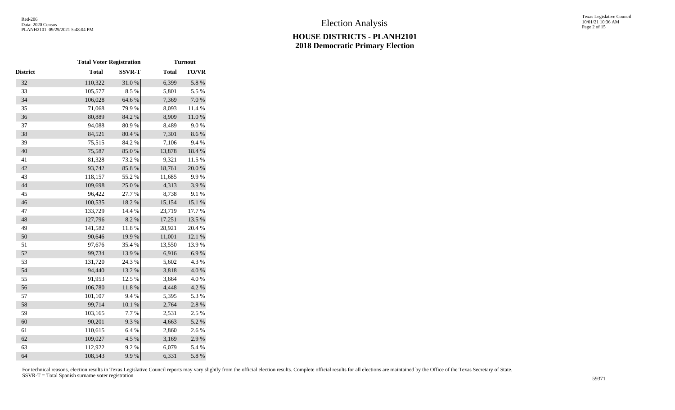Texas Legislative Council 10/01/21 10:36 AM Page 2 of 15

|                 | <b>Total Voter Registration</b> |               |              | <b>Turnout</b>   |
|-----------------|---------------------------------|---------------|--------------|------------------|
| <b>District</b> | <b>Total</b>                    | <b>SSVR-T</b> | <b>Total</b> | <b>TO/VR</b>     |
| 32              | 110,322                         | 31.0%         | 6,399        | 5.8 %            |
| 33              | 105,577                         | 8.5 %         | 5,801        | 5.5 %            |
| 34              | 106,028                         | 64.6%         | 7,369        | $7.0\ \%$        |
| 35              | 71,068                          | 79.9%         | 8,093        | 11.4 %           |
| 36              | 80,889                          | 84.2 %        | 8,909        | $11.0\ \%$       |
| 37              | 94,088                          | 80.9%         | 8,489        | 9.0%             |
| 38              | 84,521                          | 80.4 %        | 7,301        | 8.6 %            |
| 39              | 75,515                          | 84.2 %        | 7,106        | 9.4%             |
| 40              | 75,587                          | 85.0%         | 13,878       | 18.4 %           |
| 41              | 81,328                          | 73.2 %        | 9,321        | 11.5 %           |
| 42              | 93,742                          | 85.8%         | 18,761       | 20.0%            |
| 43              | 118,157                         | 55.2 %        | 11,685       | 9.9%             |
| 44              | 109,698                         | 25.0%         | 4,313        | 3.9%             |
| 45              | 96,422                          | 27.7 %        | 8,738        | 9.1 %            |
| 46              | 100,535                         | 18.2 %        | 15,154       | $15.1\text{ }\%$ |
| 47              | 133,729                         | 14.4 %        | 23,719       | 17.7 %           |
| 48              | 127,796                         | 8.2 %         | 17,251       | 13.5 %           |
| 49              | 141,582                         | 11.8 %        | 28,921       | 20.4 %           |
| 50              | 90,646                          | 19.9%         | 11,001       | 12.1%            |
| 51              | 97,676                          | 35.4 %        | 13,550       | 13.9%            |
| 52              | 99,734                          | 13.9%         | 6,916        | 6.9%             |
| 53              | 131,720                         | 24.3 %        | 5,602        | 4.3 %            |
| 54              | 94,440                          | 13.2 %        | 3,818        | 4.0%             |
| 55              | 91,953                          | 12.5 %        | 3,664        | 4.0%             |
| 56              | 106,780                         | $11.8~\%$     | 4,448        | 4.2 %            |
| 57              | 101,107                         | 9.4%          | 5,395        | 5.3 %            |
| 58              | 99,714                          | $10.1~\%$     | 2,764        | $2.8\ \%$        |
| 59              | 103,165                         | 7.7 %         | 2,531        | 2.5 %            |
| 60              | 90,201                          | 9.3%          | 4,663        | 5.2 %            |
| 61              | 110,615                         | 6.4%          | 2,860        | 2.6%             |
| 62              | 109,027                         | 4.5 %         | 3,169        | 2.9%             |
| 63              | 112,922                         | 9.2%          | 6,079        | 5.4 %            |
| 64              | 108,543                         | 9.9%          | 6,331        | 5.8 %            |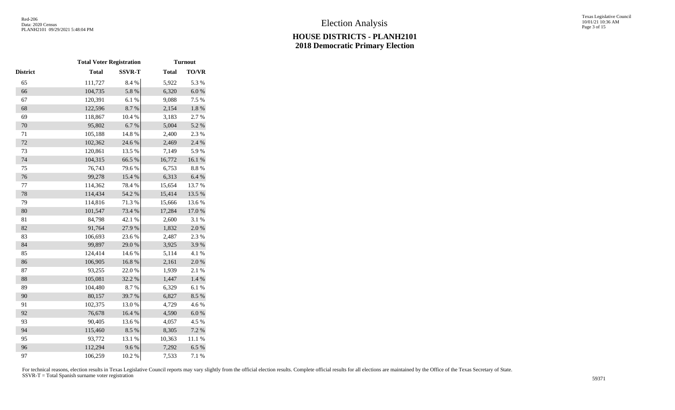|          | <b>Total Voter Registration</b> |               |              | <b>Turnout</b> |
|----------|---------------------------------|---------------|--------------|----------------|
| District | <b>Total</b>                    | <b>SSVR-T</b> | <b>Total</b> | TO/VR          |
| 65       | 111,727                         | 8.4 %         | 5,922        | 5.3 %          |
| 66       | 104,735                         | 5.8 %         | 6,320        | $6.0\ \%$      |
| 67       | 120,391                         | 6.1%          | 9,088        | 7.5 %          |
| 68       | 122,596                         | 8.7%          | 2,154        | $1.8~\%$       |
| 69       | 118,867                         | 10.4 %        | 3,183        | 2.7%           |
| 70       | 95,802                          | 6.7%          | 5,004        | 5.2 %          |
| 71       | 105,188                         | 14.8 %        | 2,400        | 2.3 %          |
| $72\,$   | 102,362                         | 24.6 %        | 2,469        | 2.4 %          |
| 73       | 120,861                         | 13.5 %        | 7,149        | 5.9%           |
| 74       | 104,315                         | 66.5 %        | 16,772       | 16.1%          |
| 75       | 76,743                          | 79.6%         | 6,753        | 8.8%           |
| 76       | 99,278                          | 15.4 %        | 6,313        | $6.4~\%$       |
| $77 \,$  | 114,362                         | 78.4 %        | 15,654       | 13.7 %         |
| 78       | 114,434                         | 54.2 %        | 15,414       | 13.5 %         |
| 79       | 114,816                         | 71.3%         | 15,666       | 13.6 %         |
| 80       | 101,547                         | 73.4 %        | 17,284       | $17.0\ \%$     |
| 81       | 84,798                          | 42.1 %        | 2,600        | 3.1 %          |
| 82       | 91,764                          | 27.9%         | 1,832        | 2.0%           |
| 83       | 106,693                         | 23.6 %        | 2,487        | 2.3 %          |
| 84       | 99,897                          | 29.0%         | 3,925        | 3.9%           |
| 85       | 124,414                         | 14.6 %        | 5,114        | 4.1%           |
| 86       | 106,905                         | 16.8%         | 2,161        | 2.0%           |
| 87       | 93,255                          | 22.0 %        | 1,939        | 2.1 %          |
| 88       | 105,081                         | 32.2 %        | 1,447        | $1.4~\%$       |
| 89       | 104,480                         | 8.7%          | 6,329        | 6.1%           |
| 90       | 80,157                          | 39.7%         | 6,827        | 8.5%           |
| 91       | 102,375                         | 13.0%         | 4,729        | 4.6%           |
| 92       | 76,678                          | 16.4 %        | 4,590        | $6.0~\%$       |
| 93       | 90,405                          | 13.6 %        | 4,057        | 4.5 %          |
| 94       | 115,460                         | 8.5%          | 8,305        | 7.2 %          |
| 95       | 93,772                          | 13.1 %        | 10,363       | 11.1 %         |
| 96       | 112,294                         | 9.6%          | 7,292        | 6.5%           |
| 97       | 106,259                         | 10.2 %        | 7,533        | 7.1 %          |
|          |                                 |               |              |                |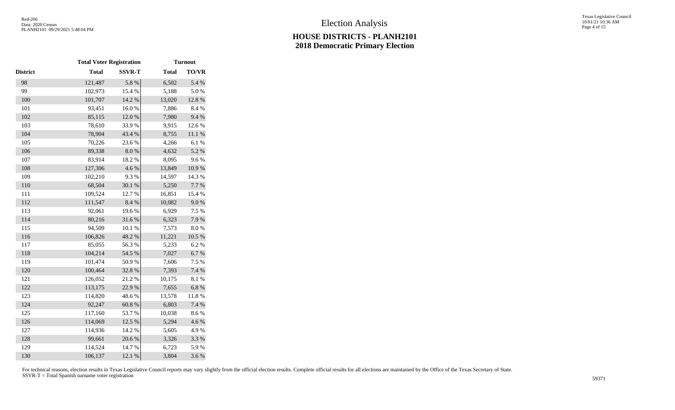|                 | <b>Total Voter Registration</b> |               |              | <b>Turnout</b> |
|-----------------|---------------------------------|---------------|--------------|----------------|
| <b>District</b> | <b>Total</b>                    | <b>SSVR-T</b> | <b>Total</b> | <b>TO/VR</b>   |
| 98              | 121,487                         | 5.8 %         | 6,502        | 5.4 %          |
| 99              | 102,973                         | 15.4 %        | 5,188        | 5.0%           |
| 100             | 101,707                         | 14.2 %        | 13,020       | 12.8 %         |
| 101             | 93,451                          | 16.0%         | 7,886        | 8.4%           |
| 102             | 85,115                          | 12.0%         | 7,980        | 9.4%           |
| 103             | 78,610                          | 33.9%         | 9,915        | 12.6 %         |
| 104             | 78,904                          | 43.4 %        | 8,755        | $11.1\ \%$     |
| 105             | 70,226                          | 23.6 %        | 4,266        | 6.1%           |
| 106             | 89,338                          | $8.0\ \%$     | 4,632        | 5.2 %          |
| 107             | 83,914                          | 18.2 %        | 8,095        | 9.6%           |
| 108             | 127,306                         | 4.6%          | 13,849       | 10.9%          |
| 109             | 102,210                         | 9.3%          | 14,597       | 14.3 %         |
| 110             | 68,504                          | 30.1 %        | 5,250        | 7.7 %          |
| 111             | 109,524                         | 12.7 %        | 16,851       | 15.4 %         |
| 112             | 111,547                         | $8.4~\%$      | 10,082       | $9.0\;\%$      |
| 113             | 92,061                          | 19.6 %        | 6,929        | 7.5 %          |
| 114             | 80,216                          | 31.6%         | 6,323        | 7.9%           |
| 115             | 94,509                          | 10.1 %        | 7,573        | $8.0\ \%$      |
| 116             | 106,826                         | 48.2 %        | 11,221       | $10.5~\%$      |
| 117             | 85,055                          | 56.3%         | 5,233        | 6.2%           |
| 118             | 104,214                         | 54.5 %        | 7,027        | $6.7~\%$       |
| 119             | 101,474                         | 50.9%         | 7,606        | 7.5 %          |
| 120             | 100,464                         | 32.8%         | 7,393        | 7.4 %          |
| 121             | 126,052                         | 21.2%         | 10,175       | 8.1 %          |
| 122             | 113,175                         | 22.9%         | 7,655        | $6.8~\%$       |
| 123             | 114,820                         | 48.6 %        | 13,578       | $11.8\ \%$     |
| 124             | 92,247                          | $60.8~\%$     | 6,803        | 7.4 %          |
| 125             | 117,160                         | 53.7%         | 10,038       | 8.6%           |
| 126             | 114,069                         | 12.5 %        | 5,294        | 4.6%           |
| 127             | 114,936                         | 14.2 %        | 5,605        | 4.9%           |
| 128             | 99,661                          | 20.6 %        | 3,326        | 3.3 %          |
| 129             | 114,524                         | 14.7%         | 6,723        | 5.9%           |
| 130             | 106,137                         | 12.1 %        | 3,804        | 3.6%           |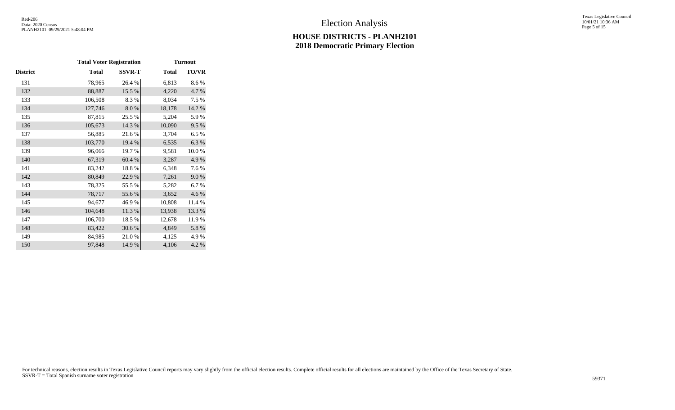Texas Legislative Council 10/01/21 10:36 AM Page 5 of 15

|          | <b>Total Voter Registration</b> |               |              | <b>Turnout</b> |
|----------|---------------------------------|---------------|--------------|----------------|
| District | <b>Total</b>                    | <b>SSVR-T</b> | <b>Total</b> | <b>TO/VR</b>   |
| 131      | 78,965                          | 26.4 %        | 6,813        | 8.6%           |
| 132      | 88,887                          | 15.5 %        | 4,220        | 4.7%           |
| 133      | 106,508                         | 8.3%          | 8,034        | 7.5 %          |
| 134      | 127,746                         | $8.0\ \%$     | 18,178       | 14.2 %         |
| 135      | 87,815                          | 25.5 %        | 5,204        | 5.9%           |
| 136      | 105,673                         | 14.3 %        | 10,090       | 9.5%           |
| 137      | 56,885                          | 21.6 %        | 3,704        | 6.5%           |
| 138      | 103,770                         | 19.4 %        | 6,535        | 6.3%           |
| 139      | 96,066                          | 19.7%         | 9,581        | 10.0%          |
| 140      | 67,319                          | 60.4 %        | 3,287        | 4.9%           |
| 141      | 83,242                          | 18.8%         | 6,348        | 7.6 %          |
| 142      | 80,849                          | 22.9%         | 7,261        | 9.0%           |
| 143      | 78,325                          | 55.5 %        | 5,282        | 6.7%           |
| 144      | 78,717                          | 55.6%         | 3,652        | 4.6 %          |
| 145      | 94,677                          | 46.9%         | 10,808       | 11.4 %         |
| 146      | 104,648                         | 11.3 %        | 13,938       | 13.3 %         |
| 147      | 106,700                         | 18.5 %        | 12,678       | 11.9%          |
| 148      | 83,422                          | 30.6 %        | 4,849        | 5.8 %          |
| 149      | 84,985                          | 21.0%         | 4,125        | 4.9%           |
| 150      | 97,848                          | 14.9%         | 4,106        | 4.2%           |
|          |                                 |               |              |                |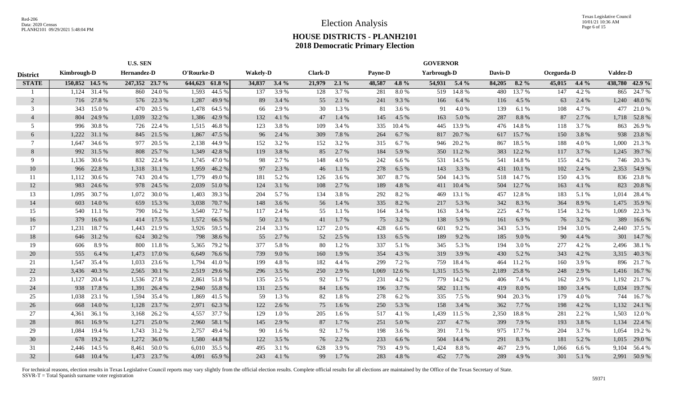|                 | <b>U.S. SEN</b> |        |                |              |               |        |                 |       |                |         |                | <b>GOVERNOR</b> |             |                  |         |           |            |         |                 |              |
|-----------------|-----------------|--------|----------------|--------------|---------------|--------|-----------------|-------|----------------|---------|----------------|-----------------|-------------|------------------|---------|-----------|------------|---------|-----------------|--------------|
| <b>District</b> | Kimbrough-D     |        | Hernandez-D    |              | O'Rourke-D    |        | <b>Wakely-D</b> |       | <b>Clark-D</b> |         | <b>Payne-D</b> |                 | Yarbrough-D |                  | Davis-D |           | Ocegueda-D |         | <b>Valdez-D</b> |              |
| <b>STATE</b>    | 150,852 14.5 %  |        | 247,352 23.7 % |              | 644,623 61.8% |        | 34,837 3.4 %    |       | 21,979         | $2.1\%$ | 48,587         | $4.8\%$         |             | $54,931$ $5.4\%$ | 84,205  | $8.2\%$   | 45,015     | $4.4\%$ | 438,780 42.9 %  |              |
|                 | 1.124           | 31.4 % |                | 860 24.0 %   | 1,593         | 44.5 % | 137             | 3.9%  | 128            | 3.7 %   | 281            | 8.0%            | 519         | 14.8%            | 480     | 13.7 %    | 147        | 4.2 %   | 865             | 24.7 %       |
| 2               | 716             | 27.8%  |                | 576 22.3 %   | 1,287         | 49.9%  | 89              | 3.4 % | 55             | 2.1 %   | 241            | 9.3%            | 166         | 6.4 %            | 116     | 4.5 %     | 63         | 2.4 %   | 1,240           | 48.0%        |
| 3               | 343             | 15.0%  | 470            | 20.5 %       | 1,478         | 64.5 % | 66              | 2.9 % | 30             | 1.3%    | 81             | 3.6 %           | 91          | 4.0%             | 139     | 6.1%      | 108        | 4.7 %   | 477             | 21.0%        |
| $\overline{4}$  | 804             | 24.9%  | 1,039          | 32.2 %       | 1,386         | 42.9%  | 132             | 4.1%  | 47             | 1.4 %   | 145            | 4.5 %           | 163         | 5.0%             | 287     | 8.8%      | 87         | 2.7%    | 1,718           | 52.8%        |
| 5               | 996             | 30.8%  | 726            | 22.4 %       | 1,515         | 46.8%  | 123             | 3.8%  | 109            | 3.4 %   | 335            | 10.4 %          | 445         | 13.9%            | 476     | 14.8%     | 118        | 3.7 %   | 863             | 26.9%        |
| 6               | 1,222           | 31.1 % |                | 845 21.5 %   | 1,867         | 47.5 % | 96              | 2.4 % | 309            | 7.8%    | 264            | 6.7%            | 817         | 20.7 %           | 617     | 15.7%     | 150        | 3.8%    | 938             | 23.8%        |
| 7               | 1.647           | 34.6 % |                | 977 20.5 %   | 2,138         | 44.9 % | 152             | 3.2 % | 152            | 3.2 %   | 315            | 6.7%            | 946         | 20.2 %           | 867     | 18.5 %    | 188        | 4.0 %   | 1,000           | 21.3%        |
| 8               | 992             | 31.5 % | 808            | 25.7 %       | 1,349         | 42.8%  | 119             | 3.8 % | 85             | 2.7%    | 184            | 5.9%            | 350         | 11.2%            | 383     | 12.2 %    | 117        | 3.7%    | 1,245           | 39.7 %       |
| 9               | 1.136           | 30.6 % | 832            | 22.4 %       | 1,745         | 47.0%  | 98              | 2.7 % | 148            | 4.0%    | 242            | 6.6 %           | 531         | 14.5 %           | 541     | 14.8%     | 155        | 4.2 %   | 746             | 20.3%        |
| 10              | 966             | 22.8%  | 1,318          | 31.1 %       | 1,959         | 46.2%  | 97              | 2.3 % | 46             | 1.1 %   | 278            | 6.5%            | 143         | 3.3 %            | 431     | 10.1 %    | 102        | 2.4 %   | 2,353           | 54.9%        |
| 11              | 1,112           | 30.6%  | 743            | 20.4 %       | 1,779         | 49.0%  | 181             | 5.2%  | 126            | 3.6 %   | 307            | 8.7%            | 504         | 14.3 %           | 518     | 14.7 %    | 150        | 4.3 %   | 836             | 23.8%        |
| 12              | 983             | 24.6 % | 978            | 24.5 %       | 2,039         | 51.0%  | 124             | 3.1 % | 108            | 2.7%    | 189            | 4.8%            | 411         | 10.4 %           | 504     | 12.7 %    | 163        | 4.1 %   | 823             | 20.8%        |
| 13              | 1.095           | 30.7%  | 1,072          | 30.0%        | 1,403         | 39.3 % | 204             | 5.7 % | 134            | 3.8%    | 292            | 8.2%            | 469         | 13.1 %           | 457     | 12.8%     | 183        | 5.1 %   | 1,014           | 28.4 %       |
| 14              | 603             | 14.0%  | 659            | 15.3 %       | 3,038         | 70.7%  | 148             | 3.6 % | 56             | 1.4 %   | 335            | 8.2%            | 217         | 5.3 %            | 342     | 8.3%      | 364        | 8.9%    | 1,475           | 35.9%        |
| 15              | 540             | 11.1 % | 790            | 16.2%        | 3,540         | 72.7 % | 117             | 2.4 % | 55             | 1.1 %   | 164            | 3.4 %           | 163         | 3.4 %            | 225     | 4.7%      | 154        | 3.2 %   | 1,069           | 22.3 %       |
| 16              | 379             | 16.0%  | 414            | 17.5 %       | 1,572         | 66.5 % | 50              | 2.1 % | 41             | 1.7%    | 75             | 3.2 %           | 138         | 5.9 %            | 161     | 6.9%      | 76         | 3.2 %   | 389             | 16.6%        |
| 17              | 1,231           | 18.7%  | 1,443          | 21.9 %       | 3,926         | 59.5 % | 214             | 3.3 % | 127            | 2.0%    | 428            | 6.6 %           | 601         | 9.2%             | 343     | 5.3 %     | 194        | 3.0 %   | 2,440           | 37.5 %       |
| 18              | 646             | 31.2%  | 624            | 30.2 %       | 798           | 38.6 % | 55              | 2.7 % | 52             | 2.5 %   | 133            | 6.5 %           | 189         | 9.2%             | 185     | 9.0 %     | 90         | 4.4 %   | 301             | 14.7 %       |
| 19              | 606             | 8.9%   | 800            | 11.8%        | 5,365         | 79.2 % | 377             | 5.8%  | 80             | 1.2%    | 337            | 5.1 %           | 345         | 5.3 %            | 194     | 3.0%      | 277        | 4.2 %   | 2,496           | 38.1 %       |
| 20              | 555             | 6.4 %  | 1,473          | 17.0 %       | 6,649         | 76.6 % | 739             | 9.0 % | 160            | 1.9%    | 354            | 4.3 %           | 319         | 3.9 %            | 430     | 5.2%      | 343        | 4.2 %   | 3,315           | 40.3%        |
| 21              | 1,547           | 35.4 % | 1,033          | 23.6 %       | 1,794         | 41.0%  | 199             | 4.8%  | 182            | 4.4 %   | 299            | 7.2 %           | 759         | 18.4 %           | 464     | 11.2 %    | 160        | 3.9%    | 896             | 21.7%        |
| 22              | 3,436           | 40.3%  | 2,565          | 30.1 %       | 2,519         | 29.6 % | 296             | 3.5 % | 250            | 2.9 %   | 1,069          | 12.6 %          | 1,315       | 15.5 %           | 2,189   | 25.8%     | 248        | 2.9%    | 1,416           | 16.7%        |
| 23              | 1,127           | 20.4 % | 1,536          | 27.8%        | 2,861         | 51.8%  | 135             | 2.5 % | 92             | 1.7%    | 231            | 4.2%            | 779         | 14.2 %           | 406     | 7.4 %     | 162        | 2.9%    | 1,192           | 21.7%        |
| 24              | 938             | 17.8 % | 1,391          | 26.4 %       | 2,940         | 55.8%  | 131             | 2.5 % | 84             | 1.6%    | 196            | 3.7%            | 582         | 11.1%            | 419     | $8.0\ \%$ | 180        | 3.4 %   | 1,034           | 19.7%        |
| 25              | 1,038           | 23.1 % | 1,594          | 35.4 %       | 1,869         | 41.5 % | 59              | 1.3 % | 82             | 1.8%    | 278            | 6.2 %           | 335         | 7.5 %            | 904     | 20.3 %    | 179        | 4.0 %   | 744             | 16.7%        |
| 26              | 668             | 14.0 % | 1,128          | 23.7 %       | 2,971         | 62.3 % | 122             | 2.6 % | 75             | 1.6%    | 250            | 5.3 %           | 158         | 3.4 %            | 362     | 7.7 %     | 198        | 4.2 %   | 1,132           | 24.1 %       |
| 27              | 4,361           | 36.1 % | 3,168          | 26.2 %       | 4,557         | 37.7 % | 129             | 1.0%  | 205            | 1.6%    | 517            | 4.1 %           | 1,439       | 11.5 %           | 2,350   | 18.8%     | 281        | 2.2 %   | 1,503           | 12.0%        |
| 28              | 861             | 16.9%  | 1,271          | 25.0 %       | 2,960         | 58.1 % | 145             | 2.9%  | 87             | 1.7 %   | 251            | 5.0%            | 237         | 4.7%             | 399     | 7.9%      | 193        | 3.8 %   | 1,134           | 22.4 %       |
| 29              | 1.084           | 19.4 % | 1,743          | 31.2 %       | 2,757         | 49.4 % | 90              | 1.6 % | 92             | 1.7%    | 198            | 3.6 %           | 391         | 7.1 %            | 975     | 17.7 %    | 204        | 3.7 %   | 1,054           | 19.2 %       |
| 30              | 678             | 19.2 % | 1,272          | 36.0%        | 1,580         | 44.8%  | 122             | 3.5 % | 76             | 2.2 %   | 233            | 6.6%            | 504         | 14.4 %           | 291     | 8.3%      | 181        | 5.2 %   | 1,015           | 29.0 %       |
| 31              | 2.446           | 14.5 % | 8,461          | 50.0%        | 6,010         | 35.5 % | 495             | 3.1 % | 628            | 3.9%    | 793            | 4.9%            | 1,424       | 8.8%             | 467     | 2.9%      | 1,066      | 6.6%    | 9,104           | 56.4 %       |
| 32              | 648             | 10.4%  |                | 1,473 23.7 % | 4.091         | 65.9%  | 243             | 4.1 % | 99             | 1.7%    | 283            | 4.8%            | 452         | 7.7 %            | 289     | 4.9 %     | 301        | 5.1 %   |                 | 2,991 50.9 % |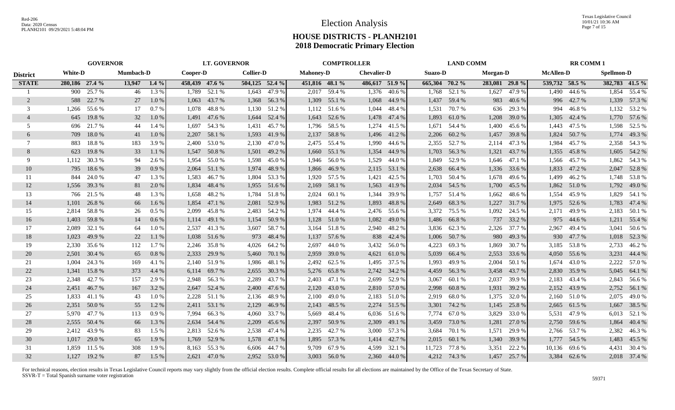|                 | <b>GOVERNOR</b> |              |                  |         | <b>LT. GOVERNOR</b> |              |                  |              | <b>COMPTROLLER</b> |                |                    |              | <b>LAND COMM</b> |              |                |              | <b>RR COMM1</b>  |              |                   |                |
|-----------------|-----------------|--------------|------------------|---------|---------------------|--------------|------------------|--------------|--------------------|----------------|--------------------|--------------|------------------|--------------|----------------|--------------|------------------|--------------|-------------------|----------------|
| <b>District</b> | <b>White-D</b>  |              | <b>Mumbach-D</b> |         | Cooper-D            |              | <b>Collier-D</b> |              | <b>Mahoney-D</b>   |                | <b>Chevalier-D</b> |              | <b>Suazo-D</b>   |              | Morgan-D       |              | <b>McAllen-D</b> |              | <b>Spellmon-D</b> |                |
| <b>STATE</b>    | 280,186 27.4 %  |              | 13,947           | $1.4\%$ | 458,439 47.6 %      |              | 504,125 52.4 %   |              | 451,816 48.1 %     |                | 486,617 51.9 %     |              | 665,304 70.2 %   |              | 283,081 29.8 % |              | 539,732 58.5 %   |              |                   | 382,783 41.5 % |
|                 | 900             | 25.7 %       | 46               | 1.3%    | 1,789               | 52.1 %       | 1,643            | 47.9 %       |                    | 2,017 59.4 %   |                    | 1,376 40.6%  |                  | 1,768 52.1 % | 1,627          | 47.9%        | 1,490            | 44.6 %       | 1,854             | 55.4 %         |
| $\overline{2}$  | 588             | 22.7 %       | 27               | $1.0\%$ | 1,063               | 43.7 %       |                  | 1,368 56.3 % | 1,309              | 55.1 %         |                    | 1,068 44.9 % | 1,437            | 59.4 %       | 983            | 40.6 %       | 996              | 42.7 %       |                   | 1,339 57.3 %   |
| 3               | 1.266           | 55.6 %       | 17               | 0.7%    | 1.078               | 48.8%        |                  | 1,130 51.2 % |                    | $1,112$ 51.6 % | 1,044              | 48.4 %       | 1,531            | 70.7 %       | 636            | 29.3 %       | 994              | 46.8%        |                   | 1,132 53.2 %   |
| $\overline{4}$  | 645             | 19.8%        | 32               | 1.0%    | 1,491               | 47.6 %       |                  | 1,644 52.4 % |                    | 1,643 52.6 %   | 1,478              | 47.4 %       | 1,893            | 61.0%        | 1,208          | 39.0%        | 1,305            | 42.4 %       |                   | 1,770 57.6 %   |
| .5              | 696             | 21.7 %       | 44               | 1.4 %   | 1.697               | 54.3 %       | 1,431            | 45.7 %       | 1,796              | 58.5 %         | 1,274              | 41.5 %       | 1,671            | 54.4 %       | 1,400          | 45.6%        | 1,443            | 47.5 %       |                   | 1,598 52.5 %   |
| 6               | 709             | 18.0%        | 41               | 1.0%    | 2,207               | 58.1 %       | 1,593            | 41.9%        | 2,137              | 58.8%          | 1,496              | 41.2%        | 2,206            | 60.2%        | 1,457          | 39.8%        | 1,824            | 50.7%        | 1,774             | 49.3%          |
| 7               | 883             | 18.8%        | 183              | 3.9%    | 2,400               | 53.0 %       | 2,130            | 47.0 %       |                    | 2,475 55.4 %   | 1,990              | 44.6 %       | 2,355            | 52.7 %       | 2,114          | 47.3 %       | 1,984            | 45.7 %       |                   | 2,358 54.3 %   |
| 8               | 623             | 19.8%        | 33               | 1.1 %   | 1,547               | 50.8%        | 1,501            | 49.2 %       |                    | 1,660 55.1 %   | 1,354              | 44.9 %       | 1,703            | 56.3 %       | 1,321          | 43.7 %       | 1,355            | 45.8%        |                   | 1,605 54.2 %   |
| 9               | 1,112           | 30.3 %       | 94               | 2.6 %   | 1,954               | 55.0%        | 1,598            | 45.0 %       | 1,946              | 56.0%          | 1,529              | 44.0 %       | 1,849            | 52.9 %       | 1,646          | 47.1 %       | 1,566            | 45.7 %       | 1,862             | 54.3 %         |
| 10              | 795             | 18.6%        | 39               | 0.9%    | 2,064               | 51.1 %       | 1,974            | 48.9%        | 1,866              | 46.9%          | 2,115              | 53.1 %       | 2,638            | 66.4 %       | 1,336          | 33.6 %       | 1,833            | 47.2 %       |                   | 2,047 52.8 %   |
| 11              | 844             | 24.0 %       | 47               | 1.3%    | 1,583               | 46.7%        | 1,804            | 53.3 %       | 1,920              | 57.5 %         | 1,421              | 42.5 %       | 1,703            | 50.4 %       | 1,678          | 49.6%        | 1,499            | 46.2%        |                   | 1,748 53.8 %   |
| 12              | 1,556           | 39.3 %       | 81               | 2.0 %   | 1,834               | 48.4%        | 1,955            | 51.6 %       | 2,169              | 58.1 %         | 1,563              | 41.9%        | 2,034            | 54.5 %       | 1,700          | 45.5 %       | 1,862            | 51.0 %       | 1,792             | 49.0 %         |
| 13              | 766             | 21.5 %       | 48               | 1.3%    | 1.658               | 48.2%        | 1,784            | 51.8%        | 2,024              | 60.1 %         | 1,344              | 39.9%        | 1,757            | 51.4 %       | 1,662          | 48.6%        |                  | 1,554 45.9 % |                   | 1,829 54.1 %   |
| 14              | 1,101           | 26.8%        | 66               | 1.6%    | 1.854               | 47.1 %       | 2,081            | 52.9 %       |                    | 1,983 51.2 %   | 1,893              | 48.8%        | 2,649            | 68.3%        | 1,227          | 31.7%        | 1,975            | 52.6 %       | 1,783             | 47.4 %         |
| 15              | 2,814           | 58.8%        | 26               | $0.5\%$ | 2,099               | 45.8%        |                  | 2,483 54.2 % |                    | 1,974 44.4 %   | 2,476              | 55.6 %       | 3,372            | 75.5 %       | 1,092          | 24.5 %       | 2,171            | 49.9%        |                   | 2,183 50.1 %   |
| 16              | 1,403           | 59.8%        | 14               | 0.6%    |                     | 1,114 49.1 % | 1,154            | 50.9 %       |                    | 1,128 51.0 %   | 1,082              | 49.0 %       | 1,486            | 66.8 %       | 737            | 33.2 %       | 975              | 44.6 %       |                   | 1,211 55.4 %   |
| 17              | 2,089           | 32.1 %       | 64               | 1.0%    | 2,537               | 41.3 %       | 3,607            | 58.7 %       |                    | 3,164 51.8 %   | 2,940              | 48.2 %       |                  | 3,836 62.3 % | 2,326          | 37.7 %       | 2,967            | 49.4 %       | 3,041             | 50.6 %         |
| 18              | 1,023           | 49.9 %       | 22               | 1.1%    | 1,038               | 51.6%        | 973              | 48.4 %       | 1,137              | 57.6 %         | 838                | 42.4 %       | 1,006            | 50.7 %       | 980            | 49.3 %       | 930              | 47.7 %       | 1,018             | 52.3 %         |
| 19              | 2,330           | 35.6 %       | 112              | 1.7%    | 2,246               | 35.8%        | 4,026            | 64.2 %       | 2,697              | 44.0%          | 3,432              | 56.0%        | 4,223            | 69.3%        | 1,869          | 30.7 %       | 3,185            | 53.8%        | 2,733             | 46.2%          |
| 20              | 2,501           | 30.4 %       | 65               | 0.8%    | 2,333               | 29.9 %       |                  | 5,460 70.1 % | 2,959              | 39.0 %         | 4,621              | 61.0 %       | 5,039            | 66.4 %       | 2,553          | 33.6 %       | 4,050            | 55.6 %       | 3,231             | 44.4 %         |
| 21              | 1.004           | 24.3 %       | 169              | 4.1 %   | 2,140               | 51.9%        | 1,986            | 48.1 %       | 2,492              | 62.5 %         | 1,495              | 37.5 %       | 1,993            | 49.9%        | 2,004          | 50.1 %       | 1,674            | 43.0 %       | 2,222             | 57.0 %         |
| 22              | 1,341           | 15.8%        | 373              | 4.4 %   | 6,114               | 69.7 %       | 2,655            | 30.3 %       | 5,276              | 65.8%          | 2,742              | 34.2 %       | 4,459            | 56.3 %       | 3,458          | 43.7 %       | 2,830            | 35.9%        | 5,045             | 64.1 %         |
| 23              | 2,348           | 42.7%        | 157              | 2.9 %   | 2,948               | 56.3%        | 2,289            | 43.7 %       | 2,403              | 47.1 %         | 2,699              | 52.9 %       | 3,067            | 60.1 %       | 2,037          | 39.9%        | 2,183            | 43.4 %       |                   | 2,843 56.6 %   |
| 24              |                 | 2,451 46.7 % | 167              | 3.2 %   | 2,647               | 52.4 %       | 2,400            | 47.6 %       | 2,120              | 43.0 %         | 2,810              | 57.0 %       | 2,998            | 60.8%        | 1,931          | 39.2 %       | 2,152            | 43.9%        |                   | 2,752 56.1 %   |
| 25              | 1,833           | 41.1 %       | 43               | 1.0 %   | 2,228               | 51.1 %       | 2,136            | 48.9 %       | 2,100              | 49.0 %         |                    | 2,183 51.0 % | 2,919            | 68.0 %       | 1,375          | 32.0 %       | 2,160            | 51.0 %       | 2,075             | 49.0 %         |
| 26              | 2,351           | 50.0%        | 55               | 1.2%    | 2,411               | 53.1 %       | 2,129            | 46.9%        | 2,143              | 48.5 %         |                    | 2,274 51.5 % | 3,301            | 74.2 %       | 1,145          | 25.8%        | 2,665            | 61.5%        | 1,667             | 38.5 %         |
| 27              | 5,970           | 47.7 %       | 113              | 0.9%    | 7,994               | 66.3%        | 4,060            | 33.7 %       | 5,669              | 48.4 %         | 6,036              | 51.6 %       | 7,774            | 67.0 %       | 3,829          | 33.0 %       | 5,531            | 47.9 %       | 6,013             | 52.1 %         |
| 28              | 2,555           | 50.4 %       | 66               | 1.3 %   | 2,634               | 54.4 %       | 2,209            | 45.6 %       | 2,397              | 50.9%          | 2,309              | 49.1 %       | 3,459            | 73.0 %       | 1,281          | 27.0 %       | 2,750            | 59.6 %       | 1,864             | 40.4 %         |
| 29              | 2,412           | 43.9%        | 83               | 1.5 %   |                     | 2,813 52.6 % | 2,538            | 47.4 %       | 2,235              | 42.7 %         | 3,000              | 57.3 %       | 3,684            | 70.1 %       | 1,571          | 29.9%        |                  | 2,766 53.7 % | 2,382             | 46.3%          |
| 30              | 1,017           | 29.0%        | 65               | 1.9%    | 1,769               | 52.9 %       | 1,578            | 47.1 %       |                    | 1,895 57.3 %   | 1,414              | 42.7 %       | 2,015            | 60.1 %       | 1,340          | 39.9%        |                  | 1,777 54.5 % | 1,483             | 45.5 %         |
| 31              | 1.859           | 11.5 %       | 308              | 1.9%    | 8.163               | 55.3 %       | 6,606            | 44.7 %       | 9,709              | 67.9%          | 4,599              | 32.1 %       | 11,723           | 77.8%        | 3,351          | 22.2 %       | 10,136           | 69.6%        | 4,431             | 30.4 %         |
| 32              |                 | 1,127 19.2 % | 87               | 1.5 %   |                     | 2,621 47.0 % |                  | 2,952 53.0 % |                    | 3.003 56.0 %   | 2,360              | 44.0 %       |                  | 4,212 74.3 % |                | 1,457 25.7 % |                  | 3,384 62.6 % |                   | 2,018 37.4 %   |
|                 |                 |              |                  |         |                     |              |                  |              |                    |                |                    |              |                  |              |                |              |                  |              |                   |                |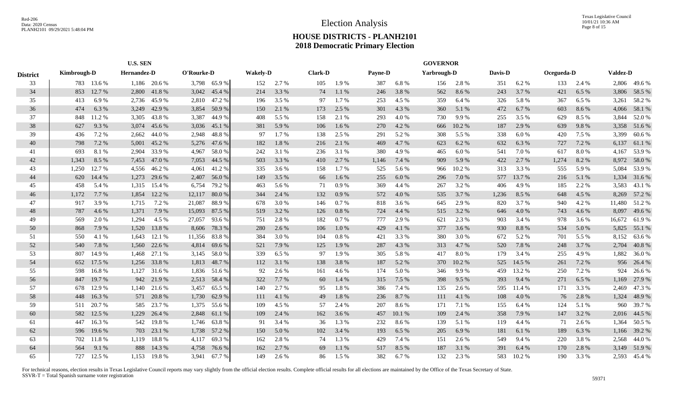|                 | <b>U.S. SEN</b>    |            |             |              |            |             |                 |       |                |          |         | <b>GOVERNOR</b> |             |        |         |        |            |       |                 |              |
|-----------------|--------------------|------------|-------------|--------------|------------|-------------|-----------------|-------|----------------|----------|---------|-----------------|-------------|--------|---------|--------|------------|-------|-----------------|--------------|
| <b>District</b> | <b>Kimbrough-D</b> |            | Hernandez-D |              | O'Rourke-D |             | <b>Wakely-D</b> |       | <b>Clark-D</b> |          | Payne-D |                 | Yarbrough-D |        | Davis-D |        | Ocegueda-D |       | <b>Valdez-D</b> |              |
| 33              |                    | 783 13.6 % |             | 1,186 20.6 % |            | 3,798 65.9% | 152             | 2.7 % | 105            | 1.9%     | 387     | 6.8%            | 156         | 2.8 %  | 351     | 6.2%   | 133        | 2.4 % |                 | 2,806 49.6 % |
| 34              | 853                | 12.7 %     | 2,800       | 41.8%        | 3,042      | 45.4 %      | 214             | 3.3 % | 74             | 1.1%     | 246     | 3.8%            | 562         | 8.6%   | 243     | 3.7 %  | 421        | 6.5 % | 3,806           | 58.5 %       |
| 35              | 413                | 6.9%       | 2,736       | 45.9%        | 2,810      | 47.2 %      | 196             | 3.5 % | 97             | 1.7%     | 253     | 4.5 %           | 359         | 6.4%   | 326     | 5.8%   | 367        | 6.5 % | 3,261           | 58.2%        |
| 36              | 474                | 6.3%       | 3,249       | 42.9 %       | 3,854      | 50.9 %      | 150             | 2.1 % | 173            | 2.5 %    | 301     | 4.3 %           | 360         | 5.1 %  | 472     | 6.7%   | 603        | 8.6%  | 4,066           | 58.1 %       |
| 37              | 848                | 11.2 %     | 3,305       | 43.8%        | 3,387      | 44.9 %      | 408             | 5.5 % | 158            | 2.1 %    | 293     | 4.0%            | 730         | 9.9%   | 255     | 3.5 %  | 629        | 8.5%  | 3,844           | 52.0%        |
| 38              | 627                | 9.3 %      | 3,074       | 45.6 %       | 3,036      | 45.1 %      | 381             | 5.9%  | 106            | 1.6 %    | 270     | 4.2%            | 666         | 10.2 % | 187     | 2.9%   | 639        | 9.8%  | 3,358           | 51.6%        |
| 39              | 436                | 7.2 %      | 2,662       | 44.0%        | 2,948      | 48.8%       | 97              | 1.7%  | 138            | 2.5 %    | 291     | 5.2%            | 308         | 5.5 %  | 338     | 6.0 %  | 420        | 7.5 % | 3,399           | 60.6%        |
| 40              | 798                | 7.2 %      | 5,001       | 45.2 %       | 5,276      | 47.6 %      | 182             | 1.8%  | 216            | 2.1 %    | 469     | 4.7%            | 623         | 6.2%   | 632     | 6.3%   | 727        | 7.2 % | 6,137           | 61.1 %       |
| 41              | 693                | 8.1%       | 2,904       | 33.9%        | 4,967      | 58.0%       | 242             | 3.1 % | 236            | 3.1 %    | 380     | 4.9%            | 465         | 6.0%   | 541     | 7.0%   | 617        | 8.0%  | 4,167           | 53.9%        |
| 42              | 1,343              | 8.5 %      | 7,453       | 47.0 %       | 7,053      | 44.5 %      | 503             | 3.3 % | 410            | 2.7%     | 1,146   | 7.4 %           | 909         | 5.9%   | 422     | 2.7%   | 1,274      | 8.2%  | 8,972           | 58.0%        |
| 43              | 1,250              | 12.7%      | 4,556       | 46.2%        | 4,061      | 41.2%       | 335             | 3.6 % | 158            | 1.7%     | 525     | 5.6 %           | 966         | 10.2%  | 313     | 3.3%   | 555        | 5.9%  | 5,084           | 53.9%        |
| 44              | 620                | 14.4 %     | 1,273       | 29.6 %       | 2,407      | 56.0%       | 149             | 3.5 % | 66             | 1.6%     | 255     | 6.0 %           | 296         | 7.0 %  | 577     | 13.7 % | 216        | 5.1 % | 1,334           | 31.6%        |
| 45              | 458                | 5.4 %      | 1,315       | 15.4 %       | 6,754      | 79.2 %      | 463             | 5.6 % | 71             | 0.9%     | 369     | 4.4 %           | 267         | 3.2 %  | 406     | 4.9%   | 185        | 2.2 % | 3,583           | 43.1 %       |
| 46              | 1,172              | 7.7%       | 1,854       | 12.2 %       | 12,117     | 80.0%       | 344             | 2.4 % | 132            | 0.9%     | 572     | 4.0%            | 535         | 3.7%   | 1,236   | 8.5 %  | 648        | 4.5 % | 8,269           | 57.2 %       |
| 47              | 917                | 3.9%       | 1,715       | 7.2 %        | 21,087     | 88.9%       | 678             | 3.0 % | 146            | 0.7%     | 818     | 3.6 %           | 645         | 2.9%   | 820     | 3.7%   | 940        | 4.2 % | 11,480          | 51.2%        |
| 48              | 787                | 4.6%       | 1,371       | 7.9%         | 15,093     | 87.5 %      | 519             | 3.2 % | 126            | 0.8%     | 724     | 4.4 %           | 515         | 3.2%   | 646     | 4.0%   | 743        | 4.6 % | 8,097           | 49.6%        |
| 49              | 569                | 2.0 %      | 1,294       | 4.5 %        | 27,057     | 93.6 %      | 751             | 2.8 % | 182            | 0.7%     | 777     | 2.9 %           | 621         | 2.3 %  | 903     | 3.4 %  | 978        | 3.6 % | 16,672          | 61.9%        |
| 50              | 868                | 7.9 %      | 1,520       | 13.8 %       | 8,606      | 78.3 %      | 280             | 2.6 % | 106            | 1.0%     | 429     | 4.1 %           | 377         | 3.6 %  | 930     | 8.8%   | 534        | 5.0 % | 5,825           | 55.1 %       |
| 51              | 550                | 4.1 %      | 1,643       | 12.1 %       | 11,356     | 83.8%       | 384             | 3.0%  | 104            | $0.8~\%$ | 421     | 3.3%            | 380         | 3.0%   | 672     | 5.2%   | 701        | 5.5 % | 8,152           | 63.6 %       |
| 52              | 540                | 7.8 %      | 1,560       | 22.6 %       | 4,814      | 69.6 %      | 521             | 7.9 % | 125            | 1.9%     | 287     | 4.3 %           | 313         | 4.7%   | 520     | 7.8 %  | 248        | 3.7 % | 2,704           | 40.8%        |
| 53              | 807                | 14.9 %     | 1,468       | 27.1 %       | 3,145      | 58.0%       | 339             | 6.5 % | 97             | 1.9%     | 305     | 5.8%            | 417         | 8.0%   | 179     | 3.4 %  | 255        | 4.9 % | 1,882           | 36.0%        |
| 54              | 652                | 17.5 %     | 1,256       | 33.8%        | 1,813      | 48.7 %      | 112             | 3.1 % | 138            | 3.8%     | 187     | 5.2 %           | 370         | 10.2 % | 525     | 14.5 % | 261        | 7.2 % | 956             | 26.4 %       |
| 55              | 598                | 16.8%      | 1,127       | 31.6 %       | 1,836      | 51.6 %      | 92              | 2.6 % | 161            | 4.6 %    | 174     | 5.0%            | 346         | 9.9%   | 459     | 13.2 % | 250        | 7.2 % | 924             | 26.6 %       |
| 56              | 847                | 19.7%      |             | 942 21.9 %   | 2,513      | 58.4 %      | 322             | 7.7 % | 60             | 1.4 %    | 315     | 7.5 %           | 398         | 9.5%   | 393     | 9.4%   | 271        | 6.5%  | 1,169           | 27.9 %       |
| 57              | 678                | 12.9 %     |             | 1,140 21.6 % | 3,457      | 65.5 %      | 140             | 2.7 % | 95             | 1.8%     | 386     | 7.4 %           | 135         | 2.6 %  | 595     | 11.4 % | 171        | 3.3 % | 2,469           | 47.3 %       |
| 58              | 448                | 16.3%      |             | 571 20.8 %   | 1,730      | 62.9 %      | 111             | 4.1%  | 49             | 1.8%     | 236     | 8.7%            | 111         | 4.1 %  | 108     | 4.0%   | 76         | 2.8 % | 1,324           | 48.9%        |
| 59              | 511                | 20.7%      | 585         | 23.7 %       | 1,375      | 55.6 %      | 109             | 4.5 % | 57             | 2.4 %    | 207     | 8.6%            | 171         | 7.1 %  | 155     | 6.4%   | 124        | 5.1 % | 960             | 39.7%        |
| 60              | 582                | 12.5 %     | 1,229       | 26.4 %       | 2,848      | 61.1 %      | 109             | 2.4 % | 162            | 3.6 %    | 457     | 10.1%           | 109         | 2.4 %  | 358     | 7.9%   | 147        | 3.2 % | 2,016           | 44.5 %       |
| 61              | 447                | 16.3%      | 542         | 19.8%        | 1,746      | 63.8%       | 91              | 3.4 % | 36             | 1.3 %    | 232     | 8.6%            | 139         | 5.1 %  | 119     | 4.4 %  | 71         | 2.6 % | 1,364           | 50.5 %       |
| 62              | 596                | 19.6%      | 703         | 23.1 %       | 1,738      | 57.2 %      | 150             | 5.0%  | 102            | 3.4 %    | 193     | 6.5 %           | 205         | 6.9%   | 181     | 6.1%   | 189        | 6.3%  | 1,166           | 39.2 %       |
| 63              | 702                | 11.8%      | 1,119       | 18.8%        | 4,117      | 69.3%       | 162             | 2.8%  | 74             | 1.3 %    | 429     | 7.4 %           | 151         | 2.6 %  | 549     | 9.4 %  | 220        | 3.8%  | 2,568           | 44.0 %       |
| 64              | 564                | 9.1 %      | 888         | 14.3 %       | 4,758      | 76.6%       | 162             | 2.7 % | 69             | 1.1%     | 517     | 8.5 %           | 187         | 3.1 %  | 391     | 6.4%   | 170        | 2.8%  | 3,149           | 51.9%        |
| 65              | 727                | 12.5 %     |             | 1,153 19.8 % | 3.941      | 67.7 %      | 149             | 2.6 % | 86             | 1.5 %    | 382     | 6.7%            | 132         | 2.3 %  | 583     | 10.2%  | 190        | 3.3 % |                 | 2,593 45.4 % |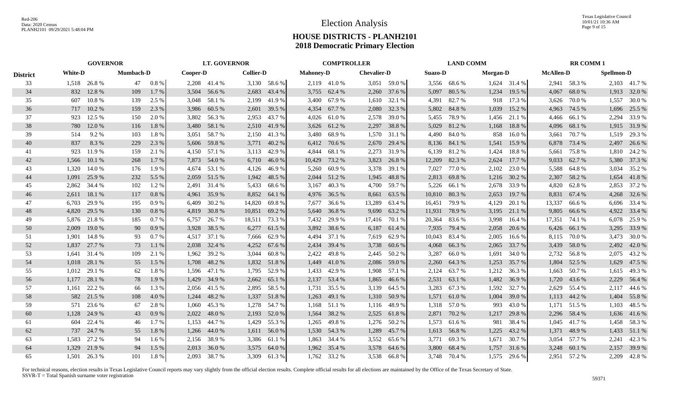|                 |                | <b>GOVERNOR</b> |                  |         |          | <b>LT. GOVERNOR</b> |                  |              |                  | <b>COMPTROLLER</b> |                    |               |                | <b>LAND COMM</b> |                 |              |                  | <b>RR COMM1</b> |                   |              |
|-----------------|----------------|-----------------|------------------|---------|----------|---------------------|------------------|--------------|------------------|--------------------|--------------------|---------------|----------------|------------------|-----------------|--------------|------------------|-----------------|-------------------|--------------|
| <b>District</b> | <b>White-D</b> |                 | <b>Mumbach-D</b> |         | Cooper-D |                     | <b>Collier-D</b> |              | <b>Mahoney-D</b> |                    | <b>Chevalier-D</b> |               | <b>Suazo-D</b> |                  | <b>Morgan-D</b> |              | <b>McAllen-D</b> |                 | <b>Spellmon-D</b> |              |
| 33              |                | 1,518 26.8 %    | 47               | 0.8 %   |          | 2,208 41.4 %        |                  | 3,130 58.6 % |                  | 2,119 41.0 %       |                    | 3,051 59.0 %  |                | 3,556 68.6 %     |                 | 1,624 31.4 % |                  | 2,941 58.3 %    |                   | 2,103 41.7 % |
| 34              | 832            | 12.8%           | 109              | $1.7\%$ | 3,504    | 56.6 %              | 2,683            | 43.4 %       |                  | 3,755 62.4 %       |                    | 2,260 37.6 %  |                | 5,097 80.5 %     |                 | 1,234 19.5 % | 4,067            | 68.0%           |                   | 1,913 32.0 % |
| 35              | 607            | 10.8%           | 139              | 2.5 %   | 3,048    | 58.1 %              | 2,199            | 41.9%        |                  | 3,400 67.9 %       |                    | 1,610 32.1 %  | 4,391          | 82.7 %           | 918             | 17.3 %       | 3,626            | 70.0%           | 1,557             | 30.0 %       |
| 36              | 717            | 10.2 %          | 159              | 2.3 %   | 3,986    | 60.5 %              |                  | 2,601 39.5 % |                  | 4,354 67.7 %       |                    | 2,080 32.3 %  | 5,802          | 84.8%            | 1,039           | 15.2 %       | 4,963            | 74.5 %          |                   | 1,696 25.5 % |
| 37              | 923            | 12.5 %          | 150              | 2.0 %   | 3,802    | 56.3%               | 2,953            | 43.7 %       |                  | 4,026 61.0 %       | 2,578              | 39.0 %        | 5,455          | 78.9 %           | 1,456           | 21.1 %       | 4,466            | 66.1%           |                   | 2,294 33.9 % |
| 38              | 780            | 12.0 %          | 116              | 1.8%    | 3,480    | 58.1 %              | 2,510            | 41.9%        |                  | 3,626 61.2 %       | 2,297              | 38.8%         | 5,029          | 81.2%            | 1,168           | 18.8%        | 4,096            | 68.1 %          |                   | 1,915 31.9 % |
| 39              | 514            | 9.2 %           | 103              | 1.8%    | 3,051    | 58.7%               | 2,150            | 41.3%        |                  | 3,480 68.9 %       |                    | 1,570 31.1 %  | 4,490          | 84.0 %           | 858             | 16.0%        | 3,661            | 70.7 %          |                   | 1,519 29.3 % |
| 40              | 837            | 8.3%            | 229              | 2.3 %   | 5,606    | 59.8%               | 3,771            | 40.2 %       |                  | 6,412 70.6 %       | 2,670              | 29.4 %        |                | 8,136 84.1 %     | 1,541           | 15.9%        | 6,878            | 73.4 %          |                   | 2,497 26.6 % |
| 41              | 923            | 11.9%           | 159              | 2.1 %   | 4,150    | 57.1 %              | 3,113            | 42.9 %       | 4,844            | 68.1 %             | 2,273              | 31.9%         | 6,139          | 81.2%            | 1,424           | 18.8%        | 5,661            | 75.8%           |                   | 1,810 24.2 % |
| 42              | 1,566          | 10.1%           | 268              | 1.7 %   | 7,873    | 54.0 %              | 6,710            | 46.0%        | 10,429           | 73.2 %             | 3,823              | 26.8%         | 12,209         | 82.3 %           | 2,624           | 17.7 %       | 9,033            | 62.7 %          |                   | 5,380 37.3 % |
| 43              | 1,320          | 14.0 %          | 176              | 1.9 %   | 4.674    | 53.1 %              | 4,126            | 46.9%        | 5,260            | 60.9 %             | 3,378              | 39.1 %        | 7,027          | 77.0 %           | 2,102           | 23.0 %       | 5,588            | 64.8%           | 3,034             | 35.2 %       |
| 44              | 1,091          | 25.9%           | 232              | 5.5 %   | 2,059    | 51.5 %              | 1,942            | 48.5 %       |                  | 2,044 51.2 %       |                    | 1,945 48.8 %  | 2,813          | 69.8%            | 1,216           | 30.2 %       | 2,307            | 58.2 %          |                   | 1,654 41.8 % |
| 45              |                | 2,862 34.4 %    | 102              | 1.2%    | 2.491    | 31.4 %              | 5,433            | 68.6 %       |                  | 3,167 40.3 %       |                    | 4,700 59.7 %  | 5,226          | 66.1 %           | 2,678           | 33.9%        | 4,820            | 62.8%           |                   | 2,853 37.2 % |
| 46              |                | 2,611 18.1 %    | 117              | 0.8%    | 4,961    | 35.9%               | 8,852            | 64.1 %       |                  | 4,976 36.5 %       | 8,661              | 63.5 %        |                | 10,810 80.3 %    | 2,653           | 19.7 %       | 8,831            | 67.4 %          |                   | 4,268 32.6 % |
| 47              | 6.703          | 29.9%           | 195              | 0.9%    | 6.409    | 30.2 %              | 14,820           | 69.8%        |                  | 7,677 36.6 %       | 13,289             | 63.4 %        | 16,451         | 79.9 %           | 4,129           | 20.1 %       | 13,337           | 66.6%           |                   | 6,696 33.4 % |
| 48              | 4,820          | 29.5 %          | 130              | 0.8%    | 4,819    | 30.8%               | 10,851           | 69.2%        |                  | 5,640 36.8 %       | 9,690              | 63.2%         |                | 11,931 78.9 %    | 3,195           | 21.1 %       | 9,805            | 66.6 %          |                   | 4,922 33.4 % |
| 49              |                | 5,876 21.8 %    | 185              | 0.7%    | 6,757    | 26.7 %              | 18,511           | 73.3 %       |                  | 7,432 29.9 %       |                    | 17,416 70.1 % | 20,364         | 83.6 %           | 3,998           | 16.4 %       |                  | 17,351 74.1 %   |                   | 6,078 25.9 % |
| 50              | 2,009          | 19.0 %          | 90               | 0.9%    | 3,928    | 38.5 %              | 6,277            | 61.5 %       |                  | 3,892 38.6 %       | 6,187              | 61.4 %        | 7,935          | 79.4 %           | 2,058           | 20.6 %       | 6,426            | 66.1 %          |                   | 3,295 33.9 % |
| 51              | 1,901          | 14.8%           | 93               | 0.7 %   | 4,517    | 37.1 %              | 7,666            | 62.9 %       | 4,494            | 37.1 %             | 7,619              | 62.9%         | 10,043         | 83.4 %           | 2,005           | 16.6 %       | 8,115            | 70.0%           | 3,473             | 30.0 %       |
| 52              | 1,837          | 27.7 %          | 73               | 1.1 %   | 2,038    | 32.4 %              | 4,252            | 67.6 %       | 2,434            | 39.4 %             | 3,738              | 60.6 %        | 4,068          | 66.3%            | 2,065           | 33.7 %       | 3,439            | 58.0%           |                   | 2,492 42.0 % |
| 53              | 1,641          | 31.4 %          | 109              | 2.1 %   | 1,962    | 39.2 %              | 3,044            | 60.8%        | 2,422            | 49.8%              |                    | 2,445 50.2 %  | 3,287          | 66.0 %           | 1,691           | 34.0 %       | 2,732            | 56.8%           |                   | 2,075 43.2 % |
| 54              | 1,018          | 28.1 %          | 55               | 1.5 %   | 1,708    | 48.2 %              | 1,832            | 51.8%        |                  | 1,449 41.0 %       | 2,086              | 59.0 %        | 2,260          | 64.3 %           | 1,253           | 35.7 %       | 1,804            | 52.5 %          |                   | 1,629 47.5 % |
| 55              | 1,012          | 29.1 %          | 62               | 1.8%    | 1,596    | 47.1 %              | 1,795            | 52.9 %       | 1,433            | 42.9 %             | 1,908              | 57.1 %        | 2,124          | 63.7 %           | 1,212           | 36.3 %       | 1,663            | 50.7%           |                   | 1,615 49.3 % |
| 56              | 1,177          | 28.1 %          | 78               | 1.9%    | 1,429    | 34.9 %              | 2,662            | 65.1 %       |                  | 2,137 53.4 %       | 1,865              | 46.6 %        | 2,531          | 63.1 %           | 1,482           | 36.9 %       | 1,720            | 43.6 %          | 2,229             | 56.4 %       |
| 57              | 1,161          | 22.2 %          | 66               | 1.3 %   | 2,056    | 41.5 %              | 2,895            | 58.5 %       |                  | 1,731 35.5 %       | 3,139              | 64.5 %        | 3,283          | 67.3 %           | 1,592           | 32.7 %       | 2,629            | 55.4 %          |                   | 2,117 44.6 % |
| 58              | 582            | 21.5 %          | 108              | 4.0%    | 1,244    | 48.2 %              | 1,337            | 51.8%        | 1,263            | 49.1 %             |                    | 1,310 50.9 %  | 1,571          | 61.0%            | 1,004           | 39.0 %       | 1,113            | 44.2 %          |                   | 1,404 55.8 % |
| 59              | 571            | 23.6 %          | 67               | 2.8%    | 1,060    | 45.3 %              | 1,278            | 54.7 %       | 1,168            | 51.1 %             | 1,116              | 48.9%         | 1,318          | 57.0 %           | 993             | 43.0%        | 1,171            | 51.5 %          | 1,103             | 48.5 %       |
| 60              | 1.128          | 24.9 %          | 43               | 0.9%    | 2,022    | 48.0%               | 2,193            | 52.0 %       | 1,564            | 38.2 %             |                    | 2,525 61.8 %  | 2,871          | 70.2 %           | 1,217           | 29.8 %       | 2,296            | 58.4 %          |                   | 1,636 41.6 % |
| 61              | 604            | 22.4 %          | 46               | $1.7\%$ | 1.153    | 44.7%               | 1,429            | 55.3 %       | 1,265            | 49.8%              |                    | 1,276 50.2 %  | 1,573          | 61.6 %           | 981             | 38.4 %       |                  | 1,045 41.7 %    |                   | 1,458 58.3 % |
| 62              | 737            | 24.7 %          | 55               | 1.8%    | 1,266    | 44.0%               | 1,611            | 56.0 %       |                  | 1,530 54.3 %       | 1,289              | 45.7 %        | 1,613          | 56.8%            | 1,225           | 43.2%        | 1,371            | 48.9%           |                   | 1,433 51.1 % |
| 63              | 1.583          | 27.2 %          | 94               | 1.6 %   | 2.156    | 38.9%               |                  | 3,386 61.1 % |                  | 1,863 34.4 %       | 3,552              | 65.6 %        | 3,771          | 69.3%            | 1,671           | 30.7 %       | 3,054            | 57.7 %          | 2,241             | 42.3 %       |
| 64              | 1.329          | 21.9 %          | 94               | 1.5 %   | 2,013    | 36.0%               | 3,575            | 64.0%        |                  | 1,962 35.4 %       | 3,578              | 64.6 %        | 3,800          | 68.4 %           | 1,757           | 31.6%        | 3,248            | 60.1 %          | 2,157             | 39.9 %       |
| 65              | 1.501          | 26.3 %          | 101              | 1.8%    |          | 2,093 38.7 %        |                  | 3,309 61.3%  |                  | 1,762 33.2 %       |                    | 3,538 66.8 %  |                | 3,748 70.4 %     | 1.575           | 29.6 %       |                  | 2,951 57.2 %    |                   | 2,209 42.8 % |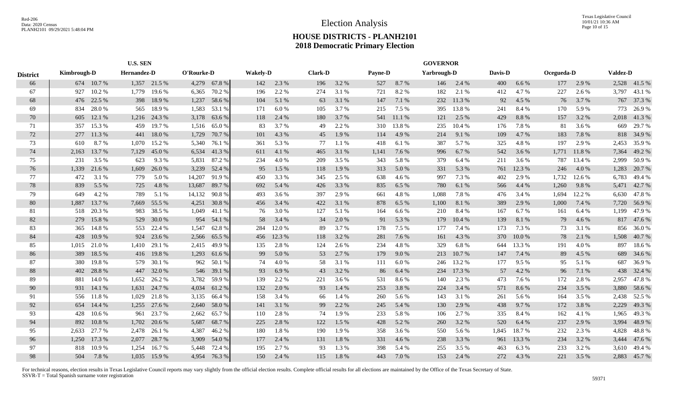|                 | <b>U.S. SEN</b> |            |             |              |            |              |                 |        |                |       |                | <b>GOVERNOR</b> |             |        |         |        |            |        |                 |              |
|-----------------|-----------------|------------|-------------|--------------|------------|--------------|-----------------|--------|----------------|-------|----------------|-----------------|-------------|--------|---------|--------|------------|--------|-----------------|--------------|
| <b>District</b> | Kimbrough-D     |            | Hernandez-D |              | O'Rourke-D |              | <b>Wakely-D</b> |        | <b>Clark-D</b> |       | <b>Payne-D</b> |                 | Yarbrough-D |        | Davis-D |        | Ocegueda-D |        | <b>Valdez-D</b> |              |
| 66              |                 | 674 10.7 % |             | 1,357 21.5 % |            | 4,279 67.8 % | 142             | 2.3 %  | 196            | 3.2%  | 527            | 8.7%            | 146         | 2.4 %  | 400     | 6.6 %  | 177        | 2.9 %  |                 | 2,528 41.5 % |
| 67              | 927             | 10.2%      | 1,779       | 19.6 %       | 6,365      | 70.2 %       | 196             | 2.2 %  | 274            | 3.1 % | 721            | 8.2%            | 182         | 2.1 %  | 412     | 4.7%   | 227        | 2.6 %  | 3,797           | 43.1 %       |
| 68              | 476             | 22.5 %     | 398         | 18.9%        | 1,237      | 58.6%        | 104             | 5.1 %  | 63             | 3.1 % | 147            | 7.1 %           | 232         | 11.3%  | 92      | 4.5 %  | 76         | 3.7 %  | 767             | 37.3 %       |
| 69              | 834             | 28.0%      | 565         | 18.9%        | 1,583      | 53.1 %       | 171             | 6.0%   | 105            | 3.7 % | 215            | 7.5 %           | 395         | 13.8%  | 241     | 8.4%   | 170        | 5.9 %  | 773             | 26.9%        |
| 70              | 605             | 12.1 %     |             | 1,216 24.3 % | 3,178      | 63.6 %       | 118             | 2.4 %  | 180            | 3.7%  | 541            | 11.1 %          | 121         | 2.5 %  | 429     | 8.8 %  | 157        | 3.2 %  |                 | 2,018 41.3%  |
| 71              | 357             | 15.3 %     | 459         | 19.7 %       | 1,516      | 65.0%        | 83              | 3.7 %  | 49             | 2.2 % | 310            | 13.8%           | 235         | 10.4 % | 176     | 7.8%   | 81         | 3.6%   | 669             | 29.7%        |
| 72              | 277             | 11.3 %     | 441         | 18.0%        | 1,729      | 70.7%        | 101             | 4.3 %  | 45             | 1.9%  | 114            | 4.9%            | 214         | 9.1 %  | 109     | 4.7 %  | 183        | 7.8 %  | 818             | 34.9 %       |
| 73              | 610             | 8.7%       | 1,070       | 15.2 %       | 5,340      | 76.1 %       | 361             | 5.3 %  | 77             | 1.1 % | 418            | 6.1 %           | 387         | 5.7%   | 325     | 4.8%   | 197        | 2.9 %  | 2,453           | 35.9%        |
| 74              | 2,163           | 13.7 %     | 7,129       | 45.0%        | 6,534      | 41.3%        | 611             | 4.1 %  | 465            | 3.1 % | 1,141          | 7.6 %           | 996         | 6.7%   | 542     | 3.6 %  | 1,771      | 11.8%  | 7,364           | 49.2%        |
| 75              | 231             | 3.5 %      | 623         | 9.3%         | 5,831      | 87.2%        | 234             | 4.0 %  | 209            | 3.5 % | 343            | 5.8 %           | 379         | 6.4%   | 211     | 3.6 %  | 787        | 13.4 % | 2,999           | 50.9%        |
| 76              | 1,339           | 21.6 %     | 1,609       | 26.0%        | 3,239      | 52.4 %       | 95              | 1.5 %  | 118            | 1.9%  | 313            | 5.0%            | 331         | 5.3 %  | 761     | 12.3 % | 246        | 4.0 %  | 1,283           | 20.7%        |
| 77              | 472             | 3.1 %      | 779         | 5.0%         | 14,207     | 91.9%        | 450             | 3.3 %  | 345            | 2.5 % | 638            | 4.6 %           | 997         | 7.3 %  | 402     | 2.9 %  | 1,732      | 12.6 % | 6,783           | 49.4 %       |
| 78              | 839             | 5.5 %      | 725         | 4.8 %        | 13,687     | 89.7%        | 692             | 5.4 %  | 426            | 3.3 % | 835            | 6.5%            | 780         | 6.1 %  | 566     | 4.4 %  | 1,260      | 9.8%   | 5,471           | 42.7%        |
| 79              | 649             | 4.2 %      | 789         | 5.1 %        | 14,132     | 90.8%        | 493             | 3.6 %  | 397            | 2.9 % | 661            | 4.8%            | 1,088       | 7.8%   | 476     | 3.4 %  | 1,694      | 12.2 % | 6,630           | 47.8%        |
| 80              | 1,887           | 13.7 %     | 7,669       | 55.5 %       | 4,251      | 30.8%        | 456             | 3.4 %  | 422            | 3.1 % | 878            | 6.5 %           | 1,100       | 8.1%   | 389     | 2.9%   | 1,000      | 7.4 %  | 7,720           | 56.9%        |
| 81              | 518             | 20.3 %     | 983         | 38.5 %       | 1,049      | 41.1 %       | 76              | 3.0%   | 127            | 5.1 % | 164            | 6.6%            | 210         | 8.4%   | 167     | 6.7%   | 161        | 6.4%   | 1,199           | 47.9%        |
| 82              | 279             | 15.8%      |             | 529 30.0 %   | 954        | 54.1 %       | 58              | 3.4 %  | 34             | 2.0 % | 91             | 5.3 %           | 179         | 10.4%  | 139     | 8.1 %  | 79         | 4.6 %  |                 | 817 47.6 %   |
| 83              | 365             | 14.8%      | 553         | 22.4 %       | 1,547      | 62.8%        | 284             | 12.0 % | 89             | 3.7 % | 178            | 7.5 %           | 177         | 7.4 %  | 173     | 7.3 %  | 73         | 3.1 %  | 856             | 36.0%        |
| 84              | 428             | 10.9 %     | 924         | 23.6 %       | 2,566      | 65.5 %       | 456             | 12.3 % | 118            | 3.2 % | 281            | 7.6 %           | 161         | 4.3 %  | 370     | 10.0%  | 78         | 2.1 %  | 1,508           | 40.7%        |
| 85              | 1,015           | 21.0%      | 1,410       | 29.1 %       | 2,415      | 49.9 %       | 135             | 2.8 %  | 124            | 2.6 % | 234            | 4.8%            | 329         | 6.8%   | 644     | 13.3 % | 191        | 4.0%   | 897             | 18.6%        |
| 86              | 389             | 18.5 %     | 416         | 19.8%        | 1,293      | 61.6 %       | 99              | 5.0 %  | 53             | 2.7 % | 179            | 9.0%            | 213         | 10.7%  | 147     | 7.4 %  | 89         | 4.5 %  | 689             | 34.6 %       |
| 87              | 380             | 19.8%      |             | 579 30.1 %   | 962        | 50.1 %       | 74              | 4.0%   | 58             | 3.1 % | 111            | 6.0 $%$         | 246         | 13.2 % | 177     | 9.5 %  | 95         | 5.1 %  | 687             | 36.9%        |
| 88              | 402             | 28.8%      | 447         | 32.0 %       | 546        | 39.1 %       | 93              | 6.9%   | 43             | 3.2 % | 86             | 6.4 %           | 234         | 17.3 % | 57      | 4.2 %  | 96         | 7.1 %  | 438             | 32.4 %       |
| 89              | 881             | 14.0 %     | 1,652       | 26.2 %       | 3,782      | 59.9%        | 139             | 2.2 %  | 221            | 3.6%  | 531            | 8.6%            | 140         | 2.3 %  | 473     | 7.6%   | 172        | 2.8%   | 2,957           | 47.8%        |
| 90              | 931             | 14.1 %     | 1,631       | 24.7 %       | 4,034      | 61.2%        | 132             | 2.0%   | 93             | 1.4 % | 253            | 3.8%            | 224         | 3.4 %  | 571     | 8.6%   | 234        | 3.5 %  | 3,880           | 58.6%        |
| 91              |                 | 556 11.8 % | 1,029       | 21.8%        | 3,135      | 66.4 %       | 158             | 3.4 %  | 66             | 1.4 % | 260            | 5.6 %           | 143         | 3.1 %  | 261     | 5.6 %  | 164        | 3.5 %  | 2,438           | 52.5 %       |
| 92              | 654             | 14.4 %     | 1,255       | 27.6 %       | 2,640      | 58.0%        | 141             | 3.1 %  | 99             | 2.2 % | 245            | 5.4 %           | 130         | 2.9 %  | 438     | 9.7%   | 172        | 3.8%   | 2,229           | 49.3 %       |
| 93              | 428             | 10.6%      | 961         | 23.7 %       | 2,662      | 65.7 %       | 110             | 2.8%   | 74             | 1.9%  | 233            | 5.8%            | 106         | 2.7 %  | 335     | 8.4 %  | 162        | 4.1 %  | 1,965           | 49.3%        |
| 94              | 892             | 10.8%      | 1,702       | 20.6 %       | 5,687      | 68.7 %       | 225             | 2.8 %  | 122            | 1.5 % | 428            | 5.2 %           | 260         | 3.2 %  | 520     | 6.4 %  | 237        | 2.9 %  | 3,994           | 48.9%        |
| 95              | 2,633           | 27.7 %     | 2,478       | 26.1 %       | 4,387      | 46.2%        | 180             | 1.8%   | 190            | 1.9%  | 358            | 3.6 %           | 550         | 5.6 %  | 1,845   | 18.7%  | 232        | 2.3 %  | 4,828           | 48.8%        |
| 96              | 1,250           | 17.3 %     | 2,077       | 28.7 %       | 3,909      | 54.0 %       | 177             | 2.4 %  | 131            | 1.8%  | 331            | 4.6 %           | 238         | 3.3%   | 961     | 13.3 % | 234        | 3.2 %  | 3,444           | 47.6 %       |
| 97              | 818             | 10.9%      | 1,254       | 16.7%        | 5,448      | 72.4 %       | 195             | 2.7 %  | 93             | 1.3%  | 398            | 5.4 %           | 255         | 3.5 %  | 463     | 6.3%   | 233        | 3.2 %  | 3,610           | 49.4 %       |
| 98              | 504             | 7.8 %      | 1.035       | 15.9 %       | 4.954      | 76.3%        | 150             | 2.4 %  | 115            | 1.8%  | 443            | 7.0 %           | 153         | 2.4 %  | 272     | 4.3 %  | 221        | 3.5 %  |                 | 2,883 45.7%  |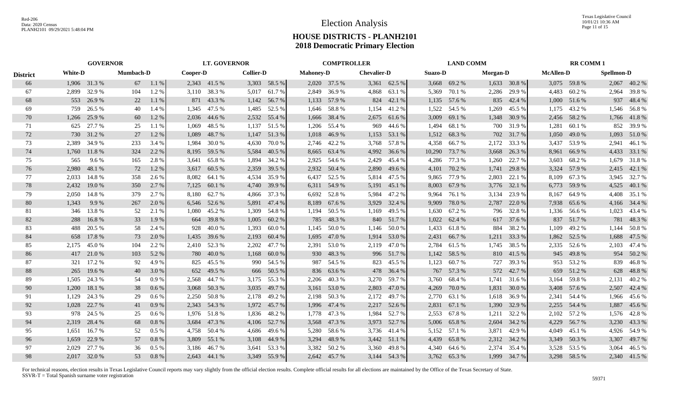|                 |                | <b>GOVERNOR</b> |                  |         |          |              | <b>LT. GOVERNOR</b> |              |                  | <b>COMPTROLLER</b> |                    |              |         | <b>LAND COMM</b> |          |              |                  | <b>RR COMM1</b> |                   |              |
|-----------------|----------------|-----------------|------------------|---------|----------|--------------|---------------------|--------------|------------------|--------------------|--------------------|--------------|---------|------------------|----------|--------------|------------------|-----------------|-------------------|--------------|
| <b>District</b> | <b>White-D</b> |                 | <b>Mumbach-D</b> |         | Cooper-D |              | <b>Collier-D</b>    |              | <b>Mahoney-D</b> |                    | <b>Chevalier-D</b> |              | Suazo-D |                  | Morgan-D |              | <b>McAllen-D</b> |                 | <b>Spellmon-D</b> |              |
| 66              |                | 1,906 31.3 %    | 67               | 1.1%    |          | 2,343 41.5 % |                     | 3,303 58.5 % |                  | 2,020 37.5 %       |                    | 3,361 62.5 % |         | 3,668 69.2 %     |          | 1,633 30.8 % |                  | 3,075 59.8 %    |                   | 2,067 40.2 % |
| 67              | 2,899          | 32.9%           | 104              | 1.2 %   | 3,110    | 38.3%        | 5,017               | 61.7 %       |                  | 2,849 36.9 %       | 4,868              | 63.1 %       | 5,369   | 70.1 %           | 2,286    | 29.9%        | 4,483            | 60.2%           | 2,964             | 39.8%        |
| 68              | 553            | 26.9%           | 22               | 1.1 %   | 871      | 43.3 %       | 1,142               | 56.7 %       | 1,133            | 57.9 %             |                    | 824 42.1 %   | 1,135   | 57.6 %           | 835      | 42.4 %       | 1,000            | 51.6%           | 937               | 48.4 %       |
| 69              | 759            | 26.5 %          | 40               | 1.4 %   | 1,345    | 47.5 %       | 1,485               | 52.5 %       |                  | 1,646 58.8 %       | 1,154              | 41.2%        | 1,522   | 54.5 %           | 1,269    | 45.5 %       | 1,175            | 43.2 %          |                   | 1,546 56.8 % |
| 70              | 1,266          | 25.9 %          | 60               | 1.2 %   | 2,036    | 44.6 %       | 2,532               | 55.4 %       | 1,666            | 38.4 %             | 2,675              | 61.6%        | 3,009   | 69.1 %           | 1,348    | 30.9 %       | 2,456            | 58.2 %          |                   | 1,766 41.8%  |
| 71              | 625            | 27.7 %          | 25               | 1.1 %   | 1.069    | 48.5 %       | 1,137               | 51.5 %       | 1,206            | 55.4 %             | 969                | 44.6 %       | 1.494   | 68.1%            | 700      | 31.9%        | 1,281            | 60.1 %          | 852               | 39.9%        |
| 72              | 730            | 31.2 %          | 27               | 1.2%    | 1,089    | 48.7%        | 1,147               | 51.3%        | 1,018            | 46.9%              | 1,153              | 53.1 %       | 1,512   | 68.3%            | 702      | 31.7%        | 1,050            | 49.0 %          |                   | 1,093 51.0 % |
| 73              |                | 2,389 34.9 %    | 233              | 3.4 %   | 1,984    | 30.0 %       | 4,630               | 70.0 %       |                  | 2,746 42.2 %       | 3,768              | 57.8 %       | 4,358   | 66.7 %           | 2,172    | 33.3 %       | 3,437            | 53.9%           | 2,941             | 46.1 %       |
| 74              | 1,760          | 11.8%           | 324              | 2.2 %   | 8,195    | 59.5 %       | 5,584               | 40.5 %       |                  | 8,665 63.4 %       | 4,992              | 36.6 %       | 10,290  | 73.7 %           | 3,668    | 26.3 %       | 8,961            | 66.9%           |                   | 4,433 33.1 % |
| 75              | 565            | 9.6 %           | 165              | 2.8%    | 3,641    | 65.8%        | 1,894               | 34.2 %       | 2,925            | 54.6 %             | 2,429              | 45.4 %       | 4,286   | 77.3 %           | 1,260    | 22.7 %       | 3,603            | 68.2 %          |                   | 1,679 31.8 % |
| 76              | 2,980          | 48.1 %          | 72               | 1.2%    | 3,617    | 60.5 %       | 2,359               | 39.5 %       |                  | 2,932 50.4 %       | 2,890              | 49.6 %       | 4,101   | 70.2 %           | 1,741    | 29.8 %       | 3,324            | 57.9 %          |                   | 2,415 42.1 % |
| 77              | 2,033          | 14.8%           | 358              | 2.6 %   | 8,082    | 64.1 %       | 4,534               | 35.9%        | 6,437            | 52.5 %             | 5,814              | 47.5 %       | 9,865   | 77.9 %           | 2,803    | 22.1 %       | 8,109            | 67.3%           |                   | 3,945 32.7 % |
| 78              | 2,432          | 19.0 %          | 350              | 2.7 %   | 7,125    | 60.1 %       | 4,740               | 39.9 %       |                  | 6,311 54.9 %       |                    | 5,191 45.1 % | 8,003   | 67.9%            | 3,776    | 32.1 %       | 6,773            | 59.9 %          | 4,525             | 40.1 %       |
| 79              | 2,050          | 14.8%           | 379              | 2.7 %   | 8.180    | 62.7%        | 4,866               | 37.3 %       |                  | 6,692 52.8 %       | 5,984              | 47.2 %       | 9,964   | 76.1 %           | 3,134    | 23.9 %       | 8,167            | 64.9%           |                   | 4,408 35.1 % |
| 80              | 1,343          | 9.9 %           | 267              | 2.0 %   |          | 6,546 52.6 % | 5,891               | 47.4 %       | 8,189            | 67.6 %             | 3,929              | 32.4 %       | 9,909   | 78.0%            | 2,787    | 22.0 %       | 7,938            | 65.6 %          |                   | 4,166 34.4 % |
| 81              |                | 346 13.8%       | 52               | 2.1 %   | 1,080    | 45.2 %       | 1,309               | 54.8 %       | 1,194            | 50.5 %             | 1,169              | 49.5 %       | 1,630   | 67.2%            | 796      | 32.8%        |                  | 1,336 56.6 %    |                   | 1,023 43.4 % |
| 82              | 288            | 16.8%           | 33               | 1.9%    | 664      | 39.8%        | 1,005               | 60.2%        | 785              | 48.3%              |                    | 840 51.7 %   | 1,022   | 62.4 %           | 617      | 37.6 %       | 837              | 51.7 %          | 781               | 48.3%        |
| 83              | 488            | 20.5 %          | 58               | 2.4 %   | 928      | 40.0 %       | 1,393               | 60.0%        |                  | 1,145 50.0 %       |                    | 1,146 50.0 % | 1,433   | 61.8 %           | 884      | 38.2 %       | 1,109            | 49.2 %          | 1,144             | 50.8%        |
| 84              | 658            | 17.8%           | 73               | 2.0 %   | 1,435    | 39.6 %       | 2,193               | 60.4%        | 1,695            | 47.0 %             | 1,914              | 53.0 %       | 2,431   | 66.7 %           | 1,211    | 33.3 %       | 1,862            | 52.5 %          | 1,688             | 47.5 %       |
| 85              | 2,175          | 45.0%           | 104              | 2.2 %   | 2,410    | 52.3 %       | 2,202               | 47.7 %       | 2,391            | 53.0 %             | 2,119              | 47.0 %       | 2,784   | 61.5 %           | 1,745    | 38.5 %       | 2,335            | 52.6 %          | 2,103             | 47.4 %       |
| 86              | 417            | 21.0%           | 103              | 5.2 %   | 780      | 40.0%        | 1,168               | 60.0 $%$     | 930              | 48.3%              |                    | 996 51.7 %   | 1,142   | 58.5 %           |          | 810 41.5 %   | 945              | 49.8%           |                   | 954 50.2 %   |
| 87              | 321            | 17.2 %          | 92               | 4.9%    | 825      | 45.5 %       | 990                 | 54.5 %       | 987              | 54.5 %             | 823                | 45.5 %       | 1,123   | 60.7 %           | 727      | 39.3%        | 953              | 53.2 %          | 839               | 46.8%        |
| 88              | 265            | 19.6 %          | 40               | 3.0 %   | 652      | 49.5 %       | 666                 | 50.5 %       | 836              | 63.6 %             | 478                | 36.4 %       | 767     | 57.3 %           | 572      | 42.7%        | 659              | 51.2%           | 628               | 48.8%        |
| 89              | 1.505          | 24.3 %          | 54               | 0.9%    | 2.568    | 44.7%        | 3,175               | 55.3 %       | 2.206            | 40.3%              | 3,270              | 59.7%        | 3,760   | 68.4 %           | 1,741    | 31.6 %       | 3,164            | 59.8%           | 2,131             | 40.2%        |
| 90              | 1,200          | 18.1 %          | 38               | 0.6 %   | 3,068    | 50.3%        | 3,035               | 49.7 %       | 3,161            | 53.0 %             | 2,803              | 47.0 %       | 4,269   | 70.0 %           | 1,831    | 30.0%        | 3,408            | 57.6 %          | 2,507             | 42.4 %       |
| 91              | 1,129          | 24.3 %          | 29               | 0.6 %   | 2,250    | 50.8%        | 2,178               | 49.2 %       |                  | 2,198 50.3 %       | 2,172              | 49.7 %       | 2,770   | 63.1 %           | 1,618    | 36.9%        | 2,341            | 54.4 %          |                   | 1,966 45.6 % |
| 92              | 1,028          | 22.7 %          | 41               | 0.9%    | 2,343    | 54.3 %       | 1,972               | 45.7 %       | 1,996            | 47.4 %             |                    | 2,217 52.6 % | 2,831   | 67.1 %           | 1,390    | 32.9 %       | 2,255            | 54.4 %          | 1,887             | 45.6 %       |
| 93              | 978            | 24.5 %          | 25               | 0.6 %   | 1,976    | 51.8%        | 1,836               | 48.2 %       | 1,778            | 47.3 %             | 1,984              | 52.7 %       | 2,553   | 67.8%            | 1,211    | 32.2 %       | 2,102            | 57.2 %          | 1,576             | 42.8%        |
| 94              | 2,319          | 28.4 %          | 68               | 0.8%    | 3,684    | 47.3 %       |                     | 4,106 52.7 % | 3,568            | 47.3 %             |                    | 3,973 52.7 % | 5,006   | 65.8%            | 2,604    | 34.2 %       | 4,229            | 56.7 %          |                   | 3,230 43.3 % |
| 95              | 1,651          | 16.7 %          | 52               | $0.5\%$ | 4,758    | 50.4 %       | 4,686               | 49.6 %       |                  | 5,280 58.6 %       |                    | 3,736 41.4 % | 5,152   | 57.1 %           | 3,871    | 42.9 %       | 4,049            | 45.1 %          |                   | 4,926 54.9 % |
| 96              | 1,659          | 22.9 %          | 57               | 0.8%    | 3,809    | 55.1 %       | 3,108               | 44.9%        | 3,294            | 48.9%              |                    | 3,442 51.1 % | 4,439   | 65.8%            | 2,312    | 34.2 %       | 3,349            | 50.3 %          |                   | 3,307 49.7 % |
| 97              | 2.029          | 27.7 %          | 36               | 0.5 %   | 3.186    | 46.7%        | 3,641               | 53.3 %       |                  | 3,382 50.2 %       | 3,360              | 49.8%        | 4,340   | 64.6 %           | 2,374    | 35.4 %       | 3,528            | 53.5 %          | 3,064             | 46.5 %       |
| 98              |                | 2,017 32.0 %    | 53               | 0.8%    |          | 2,643 44.1 % |                     | 3,349 55.9 % |                  | 2,642 45.7 %       |                    | 3,144 54.3 % |         | 3,762 65.3 %     | 1.999    | 34.7 %       |                  | 3,298 58.5 %    |                   | 2,340 41.5 % |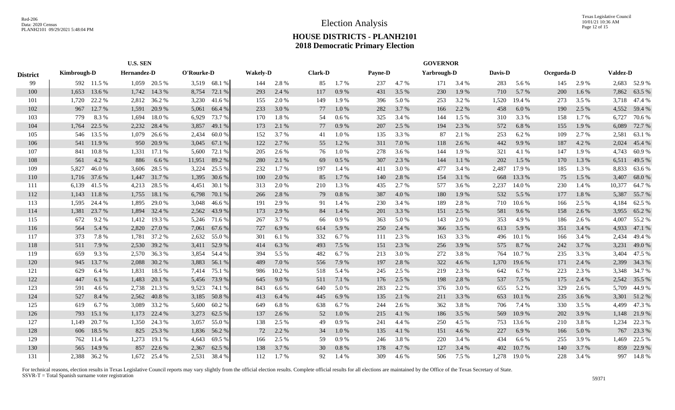|                 |             |              | <b>U.S. SEN</b>    |              |            |              |                 |       |                |       |                |       | <b>GOVERNOR</b> |           |         |        |            |       |                 |              |
|-----------------|-------------|--------------|--------------------|--------------|------------|--------------|-----------------|-------|----------------|-------|----------------|-------|-----------------|-----------|---------|--------|------------|-------|-----------------|--------------|
| <b>District</b> | Kimbrough-D |              | <b>Hernandez-D</b> |              | O'Rourke-D |              | <b>Wakely-D</b> |       | <b>Clark-D</b> |       | <b>Payne-D</b> |       | Yarbrough-D     |           | Davis-D |        | Ocegueda-D |       | <b>Valdez-D</b> |              |
| 99              |             | 592 11.5 %   |                    | 1,059 20.5 % |            | 3,519 68.1 % | 144             | 2.8%  | 85             | 1.7%  | 237            | 4.7%  |                 | 171 3.4 % | 283     | 5.6 %  | 145        | 2.9 % |                 | 2,683 52.9 % |
| 100             | 1,653       | 13.6 %       | 1,742              | 14.3 %       | 8,754      | 72.1 %       | 293             | 2.4 % | 117            | 0.9%  | 431            | 3.5 % | 230             | 1.9%      | 710     | 5.7%   | 200        | 1.6 % | 7,862           | 63.5%        |
| 101             | 1,720       | 22.2 %       | 2,812              | 36.2 %       | 3,230      | 41.6 %       | 155             | 2.0%  | 149            | 1.9%  | 396            | 5.0%  | 253             | 3.2 %     | 1,520   | 19.4 % | 273        | 3.5 % | 3,718           | 47.4 %       |
| 102             | 967         | 12.7 %       | 1,591              | 20.9 %       | 5,061      | 66.4 %       | 233             | 3.0%  | 77             | 1.0%  | 282            | 3.7%  | 166             | 2.2 %     | 458     | 6.0 %  | 190        | 2.5 % | 4,552           | 59.4 %       |
| 103             | 779         | 8.3%         | 1,694              | 18.0%        | 6,929      | 73.7%        | 170             | 1.8%  | 54             | 0.6%  | 325            | 3.4 % | 144             | 1.5 %     | 310     | 3.3%   | 158        | 1.7%  | 6,727           | 70.6 %       |
| 104             | 1,764       | 22.5 %       | 2,232              | 28.4 %       | 3,857      | 49.1 %       | 173             | 2.1 % | 77             | 0.9%  | 207            | 2.5 % | 194             | 2.3 %     | 572     | 6.8%   | 155        | 1.9%  | 6,089           | 72.7 %       |
| 105             | 546         | 13.5 %       | 1,079              | 26.6 %       | 2,434      | 60.0%        | 152             | 3.7%  | 41             | 1.0%  | 135            | 3.3 % | 87              | 2.1 %     | 253     | 6.2%   | 109        | 2.7%  | 2,581           | 63.1 %       |
| 106             | 541         | 11.9 %       |                    | 950 20.9 %   | 3,045      | 67.1 %       | 122             | 2.7%  | 55             | 1.2%  | 311            | 7.0%  | 118             | 2.6 %     | 442     | 9.9%   | 187        | 4.2%  | 2,024           | 45.4 %       |
| 107             | 841         | 10.8 %       | 1,331              | 17.1 %       | 5,600      | 72.1 %       | 205             | 2.6 % | 76             | 1.0%  | 278            | 3.6%  | 144             | 1.9%      | 321     | 4.1 %  | 147        | 1.9%  | 4,743           | 60.9%        |
| 108             | 561         | 4.2%         | 886                | 6.6 %        | 11,951     | 89.2 %       | 280             | 2.1 % | 69             | 0.5 % | 307            | 2.3 % | 144             | 1.1%      | 202     | 1.5 %  | 170        | 1.3 % | 6,511           | 49.5 %       |
| 109             | 5,827       | 46.0%        | 3,606              | 28.5 %       | 3,224      | 25.5 %       | 232             | 1.7%  | 197            | 1.4 % | 411            | 3.0%  | 477             | 3.4 %     | 2,487   | 17.9%  | 185        | 1.3%  | 8,833           | 63.6%        |
| 110             | 1,716       | 37.6 %       | 1,447              | 31.7 %       | 1,395      | 30.6 %       | 100             | 2.0%  | 85             | 1.7 % | 140            | 2.8%  | 154             | 3.1 %     | 668     | 13.3 % | 75         | 1.5 % | 3,407           | 68.0%        |
| 111             | 6,139       | 41.5 %       | 4,213              | 28.5 %       | 4,451      | 30.1 %       | 313             | 2.0 % | 210            | 1.3 % | 435            | 2.7 % | 577             | 3.6 %     | 2,237   | 14.0%  | 230        | 1.4 % | 10,377          | 64.7 %       |
| 112             | 1,143       | 11.8%        | 1,755              | 18.1 %       | 6,798      | 70.1 %       | 266             | 2.8%  | 79             | 0.8 % | 387            | 4.0%  | 180             | 1.9%      | 532     | 5.5 %  | 177        | 1.8%  | 5,387           | 55.7%        |
| 113             | 1,595       | 24.4 %       | 1,895              | 29.0%        | 3,048      | 46.6%        | 191             | 2.9 % | 91             | 1.4 % | 230            | 3.4 % | 189             | 2.8%      | 710     | 10.6%  | 166        | 2.5 % | 4,184           | 62.5 %       |
| 114             | 1,381       | 23.7 %       | 1,894              | 32.4 %       | 2,562      | 43.9%        | 173             | 2.9%  | 84             | 1.4 % | 201            | 3.3 % | 151             | 2.5 %     | 581     | 9.6%   | 158        | 2.6%  | 3,955           | 65.2%        |
| 115             | 672         | 9.2%         | 1,412              | 19.3 %       | 5,246      | 71.6 %       | 267             | 3.7 % | 66             | 0.9%  | 363            | 5.0 % | 143             | 2.0%      | 353     | 4.9%   | 186        | 2.6 % | 4,007           | 55.2 %       |
| 116             | 564         | 5.4 %        | 2,820              | 27.0 %       | 7,061      | 67.6 %       | 727             | 6.9%  | 614            | 5.9 % | 250            | 2.4 % | 366             | 3.5 %     | 613     | 5.9%   | 351        | 3.4 % | 4,933           | 47.1 %       |
| 117             | 373         | 7.8%         | 1,781              | 37.2 %       | 2,632      | 55.0%        | 301             | 6.1%  | 332            | 6.7%  | 111            | 2.3 % | 163             | 3.3 %     | 496     | 10.1 % | 166        | 3.4 % | 2,434           | 49.4 %       |
| 118             | 511         | 7.9 %        | 2,530              | 39.2 %       | 3,411      | 52.9 %       | 414             | 6.3%  | 493            | 7.5 % | 151            | 2.3 % | 256             | 3.9%      | 575     | 8.7%   | 242        | 3.7 % | 3,231           | 49.0 %       |
| 119             | 659         | 9.3%         |                    | 2,570 36.3 % | 3,854      | 54.4 %       | 394             | 5.5 % | 482            | 6.7 % | 213            | 3.0%  | 272             | 3.8%      | 764     | 10.7%  | 235        | 3.3 % | 3,404           | 47.5 %       |
| 120             | 945         | 13.7 %       | 2,088              | 30.2 %       | 3,883      | 56.1 %       | 489             | 7.0%  | 556            | 7.9 % | 197            | 2.8%  | 322             | 4.6 %     | 1,370   | 19.6%  | 171        | 2.4 % | 2,399           | 34.3 %       |
| 121             | 629         | 6.4 %        | 1,831              | 18.5%        | 7,414      | 75.1 %       | 986             | 10.2% | 518            | 5.4 % | 245            | 2.5 % | 219             | 2.3 %     | 642     | 6.7%   | 223        | 2.3 % | 3,348           | 34.7 %       |
| 122             | 447         | 6.1 %        | 1,483              | 20.1 %       | 5,456      | 73.9 %       | 645             | 9.0%  | 511            | 7.1 % | 176            | 2.5 % | 198             | 2.8%      | 537     | 7.5 %  | 175        | 2.4 % | 2,542           | 35.5 %       |
| 123             | 591         | 4.6 %        | 2,738              | 21.3 %       | 9,523      | 74.1 %       | 843             | 6.6%  | 640            | 5.0%  | 283            | 2.2 % | 376             | 3.0%      | 655     | 5.2%   | 329        | 2.6 % | 5,709           | 44.9%        |
| 124             | 527         | 8.4 %        | 2,562              | 40.8%        | 3,185      | 50.8 %       | 413             | 6.4%  | 445            | 6.9%  | 135            | 2.1 % | 211             | 3.3%      | 653     | 10.1%  | 235        | 3.6 % | 3,301           | 51.2%        |
| 125             | 619         | 6.7%         | 3,089              | 33.2 %       | 5,600      | 60.2%        | 649             | 6.8%  | 638            | 6.7%  | 244            | 2.6%  | 362             | 3.8%      | 706     | 7.4 %  | 330        | 3.5 % | 4,499           | 47.3 %       |
| 126             | 793         | 15.1 %       | 1,173              | 22.4 %       | 3,273      | 62.5 %       | 137             | 2.6%  | 52             | 1.0%  | 215            | 4.1 % | 186             | 3.5 %     | 569     | 10.9%  | 202        | 3.9 % | 1,148           | 21.9%        |
| 127             | 1.149       | 20.7%        | 1,350              | 24.3 %       | 3,057      | 55.0%        | 138             | 2.5 % | 49             | 0.9%  | 241            | 4.4 % | 250             | 4.5 %     | 753     | 13.6 % | 210        | 3.8%  | 1,234           | 22.3 %       |
| 128             | 606         | 18.5 %       | 825                | 25.3 %       | 1,836      | 56.2 %       | 72              | 2.2 % | 34             | 1.0%  | 135            | 4.1 % | 151             | 4.6 %     | 227     | 6.9%   | 166        | 5.0%  | 767             | 23.3 %       |
| 129             | 762         | 11.4 %       | 1,273              | 19.1 %       | 4,643      | 69.5 %       | 166             | 2.5 % | 59             | 0.9%  | 246            | 3.8%  | 220             | 3.4 %     | 434     | 6.6%   | 255        | 3.9%  | 1,469           | 22.5 %       |
| 130             | 565         | 14.9%        | 857                | 22.6 %       | 2,367      | 62.5 %       | 138             | 3.7 % | 30             | 0.8%  | 178            | 4.7%  | 127             | 3.4 %     | 402     | 10.7%  | 140        | 3.7%  | 859             | 22.9 %       |
| 131             |             | 2,388 36.2 % |                    | 1,672 25.4 % | 2,531      | 38.4 %       | 112             | 1.7 % | 92             | 1.4 % | 309            | 4.6 % | 506             | 7.5 %     | 1,278   | 19.0%  | 228        | 3.4 % |                 | 997 14.8 %   |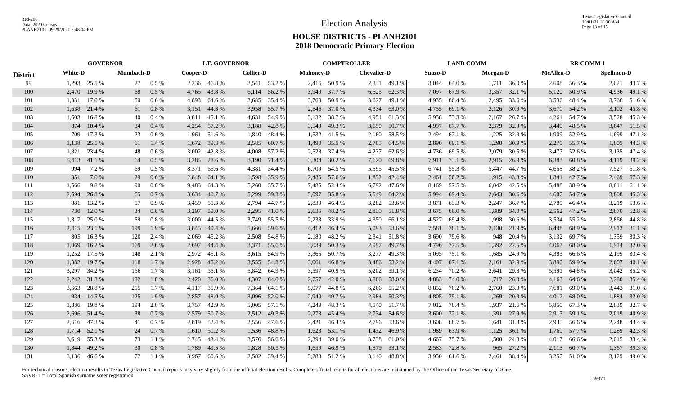|                 |       | <b>GOVERNOR</b> |     | <b>LT. GOVERNOR</b> |       |              |       | <b>COMPTROLLER</b> |       |                  |       | <b>LAND COMM</b>   |       |                | <b>RR COMM1</b> |                 |       |                  |       |                   |  |
|-----------------|-------|-----------------|-----|---------------------|-------|--------------|-------|--------------------|-------|------------------|-------|--------------------|-------|----------------|-----------------|-----------------|-------|------------------|-------|-------------------|--|
| <b>District</b> |       | <b>White-D</b>  |     | <b>Mumbach-D</b>    |       | Cooper-D     |       | <b>Collier-D</b>   |       | <b>Mahoney-D</b> |       | <b>Chevalier-D</b> |       | <b>Suazo-D</b> |                 | <b>Morgan-D</b> |       | <b>McAllen-D</b> |       | <b>Spellmon-D</b> |  |
| 99              |       | 1,293 25.5 %    | 27  | $0.5\%$             |       | 2,236 46.8 % |       | 2,541 53.2 %       |       | 2,416 50.9 %     |       | 2,331 49.1 %       | 3,044 | 64.0 %         |                 | $1,711$ 36.0 %  |       | 2,608 56.3 %     |       | 2,021 43.7 %      |  |
| 100             | 2,470 | 19.9 %          | 68  | $0.5\%$             | 4,765 | 43.8%        |       | 6,114 56.2 %       |       | 3,949 37.7 %     | 6,523 | 62.3 %             |       | 7,097 67.9 %   |                 | 3,357 32.1 %    | 5,120 | 50.9%            |       | 4,936 49.1 %      |  |
| 101             | 1,331 | 17.0 %          | 50  | $0.6\%$             | 4,893 | 64.6 %       |       | 2,685 35.4 %       |       | 3,763 50.9 %     | 3,627 | 49.1 %             | 4,935 | 66.4 %         | 2,495           | 33.6 %          |       | 3,536 48.4 %     |       | 3,766 51.6 %      |  |
| 102             | 1,638 | 21.4 %          | 61  | 0.8%                | 3,151 | 44.3 %       | 3,958 | 55.7 %             |       | 2,546 37.0 %     | 4,334 | 63.0 %             | 4,755 | 69.1 %         | 2,126           | 30.9 %          |       | 3,670 54.2 %     |       | 3,102 45.8 %      |  |
| 103             | 1,603 | 16.8%           | 40  | 0.4%                | 3,811 | 45.1 %       | 4,631 | 54.9 %             |       | 3,132 38.7 %     | 4,954 | 61.3%              | 5,958 | 73.3 %         | 2,167           | 26.7 %          | 4,261 | 54.7 %           |       | 3,528 45.3 %      |  |
| 104             | 874   | 10.4%           | 34  | 0.4%                | 4,254 | 57.2 %       | 3,188 | 42.8%              |       | 3,543 49.3 %     | 3,650 | 50.7 %             | 4,997 | 67.7 %         | 2,379           | 32.3 %          | 3,440 | 48.5 %           |       | 3,647 51.5 %      |  |
| 105             | 709   | 17.3 %          | 23  | 0.6 %               | 1.961 | 51.6 %       | 1,840 | 48.4 %             |       | 1,532 41.5 %     | 2,160 | 58.5 %             | 2,494 | 67.1 %         | 1,225           | 32.9 %          | 1.909 | 52.9 %           |       | 1,699 47.1 %      |  |
| 106             | 1,138 | 25.5 %          | 61  | 1.4 %               | 1,672 | 39.3 %       | 2,585 | 60.7 %             |       | 1,490 35.5 %     | 2,705 | 64.5 %             | 2,890 | 69.1 %         | 1,290           | 30.9 %          | 2,270 | 55.7 %           |       | 1,805 44.3 %      |  |
| 107             | 1,821 | 23.4 %          | 48  | 0.6 %               | 3,002 | 42.8%        | 4,008 | 57.2 %             | 2,528 | 37.4 %           | 4,237 | 62.6 %             | 4,736 | 69.5 %         | 2,079           | 30.5 %          | 3,477 | 52.6 %           |       | 3,135 47.4 %      |  |
| 108             | 5,413 | 41.1 %          | 64  | $0.5\%$             | 3,285 | 28.6 %       | 8,190 | 71.4 %             | 3,304 | 30.2 %           | 7,620 | 69.8%              | 7,911 | 73.1 %         | 2,915           | 26.9 %          | 6,383 | 60.8%            |       | 4,119 39.2 %      |  |
| 109             | 994   | 7.2 %           | 69  | $0.5\%$             | 8,371 | 65.6%        | 4,381 | 34.4 %             | 6,709 | 54.5 %           | 5,595 | 45.5 %             | 6,741 | 55.3 %         | 5,447           | 44.7 %          | 4,658 | 38.2 %           | 7,527 | 61.8%             |  |
| 110             | 351   | 7.0 %           | 29  | 0.6%                | 2,848 | 64.1 %       | 1,598 | 35.9 %             | 2,485 | 57.6 %           | 1,832 | 42.4 %             | 2,461 | 56.2%          | 1,915           | 43.8%           | 1,841 | 42.7 %           |       | 2,469 57.3 %      |  |
| 111             | 1,566 | 9.8%            | 90  | $0.6\%$             | 9.483 | 64.3%        | 5,260 | 35.7 %             |       | 7,485 52.4 %     | 6,792 | 47.6 %             | 8,169 | 57.5 %         | 6,042           | 42.5 %          | 5,488 | 38.9%            |       | 8,611 61.1 %      |  |
| 112             | 2,594 | 26.8%           | 65  | 0.7%                | 3,634 | 40.7%        | 5,299 | 59.3 %             |       | 3,097 35.8 %     | 5,549 | 64.2 %             | 5,994 | 69.4 %         | 2,643           | 30.6 %          | 4,607 | 54.7 %           | 3,808 | 45.3 %            |  |
| 113             | 881   | 13.2 %          | 57  | $0.9\%$             | 3.459 | 55.3 %       |       | 2,794 44.7 %       |       | 2,839 46.4 %     | 3,282 | 53.6 %             | 3.871 | 63.3%          | 2,247           | 36.7%           | 2.789 | 46.4 %           |       | 3,219 53.6 %      |  |
| 114             | 730   | 12.0 %          | 34  | 0.6 %               | 3,297 | 59.0%        | 2,295 | 41.0%              |       | 2,635 48.2 %     |       | 2,830 51.8 %       | 3,675 | 66.0%          | 1,889           | 34.0 %          |       | 2,562 47.2 %     |       | 2,870 52.8%       |  |
| 115             | 1,817 | 25.0 %          | 59  | 0.8 %               | 3,000 | 44.5 %       |       | 3,749 55.5 %       |       | 2,233 33.9 %     |       | 4,350 66.1 %       | 4,527 | 69.4 %         | 1,998           | 30.6 %          | 3,534 | 55.2 %           |       | 2,866 44.8 %      |  |
| 116             | 2,415 | 23.1 %          | 199 | 1.9%                | 3,845 | 40.4 %       | 5,666 | 59.6 %             |       | 4,412 46.4 %     | 5,093 | 53.6 %             | 7,581 | 78.1 %         | 2,130           | 21.9 %          | 6,448 | 68.9%            |       | 2,913 31.1 %      |  |
| 117             | 805   | 16.3%           | 120 | 2.4 %               | 2,069 | 45.2 %       |       | 2,508 54.8 %       | 2,180 | 48.2 %           |       | 2,341 51.8 %       | 3,690 | 79.6 %         | 948             | 20.4 %          | 3,132 | 69.7 %           | 1,359 | 30.3 %            |  |
| 118             | 1,069 | 16.2 %          | 169 | 2.6 %               | 2,697 | 44.4 %       | 3,371 | 55.6 %             |       | 3,039 50.3 %     | 2,997 | 49.7 %             | 4,796 | 77.5 %         | 1,392           | 22.5 %          | 4,063 | 68.0%            | 1,914 | 32.0 %            |  |
| 119             | 1,252 | 17.5 %          | 148 | 2.1 %               | 2,972 | 45.1 %       |       | 3,615 54.9 %       |       | 3,365 50.7 %     | 3,277 | 49.3 %             | 5,095 | 75.1 %         | 1,685           | 24.9 %          | 4,383 | 66.6 %           |       | 2,199 33.4 %      |  |
| 120             | 1,382 | 19.7 %          | 118 | 1.7 %               | 2,928 | 45.2 %       | 3,555 | 54.8%              | 3,061 | 46.8%            | 3,486 | 53.2 %             | 4,407 | 67.1 %         | 2,161           | 32.9 %          | 3,890 | 59.9 %           | 2,607 | 40.1 %            |  |
| 121             | 3,297 | 34.2 %          | 166 | 1.7 %               | 3,161 | 35.1 %       | 5,842 | 64.9 %             | 3,597 | 40.9%            | 5,202 | 59.1 %             | 6,234 | 70.2 %         | 2,641           | 29.8 %          | 5,591 | 64.8%            |       | 3,042 35.2 %      |  |
| 122             | 2,242 | 31.3 %          | 132 | 1.8%                | 2,420 | 36.0%        | 4,307 | 64.0 %             | 2,757 | 42.0 %           |       | 3,806 58.0 %       | 4,883 | 74.0 %         | 1,717           | 26.0%           | 4,163 | 64.6 %           |       | 2,280 35.4 %      |  |
| 123             | 3,663 | 28.8%           | 215 | $1.7\%$             | 4,117 | 35.9 %       | 7,364 | 64.1 %             |       | 5,077 44.8 %     |       | 6,266 55.2 %       | 8,852 | 76.2 %         | 2,760           | 23.8 %          | 7,681 | 69.0%            |       | 3,443 31.0 %      |  |
| 124             | 934   | 14.5 %          | 125 | 1.9%                | 2,857 | 48.0%        | 3,096 | 52.0 %             | 2,949 | 49.7 %           | 2,984 | 50.3 %             | 4,805 | 79.1 %         | 1,269           | 20.9 %          | 4,012 | 68.0%            | 1,884 | 32.0 %            |  |
| 125             | 1,886 | 19.8%           | 194 | 2.0 %               | 3,757 | 42.9%        | 5,005 | 57.1 %             | 4,249 | 48.3%            |       | 4,540 51.7 %       | 7,012 | 78.4 %         | 1,937           | 21.6 %          | 5,850 | 67.3%            | 2,839 | 32.7 %            |  |
| 126             |       | 2,696 51.4 %    | 38  | 0.7%                | 2,579 | 50.7 %       |       | 2,512 49.3 %       | 2,273 | 45.4 %           | 2,734 | 54.6 %             | 3,600 | 72.1 %         | 1,391           | 27.9 %          | 2,917 | 59.1 %           |       | 2,019 40.9 %      |  |
| 127             |       | 2,616 47.3 %    | 41  | $0.7\%$             | 2.819 | 52.4 %       |       | 2,556 47.6 %       | 2,421 | 46.4 %           |       | 2,796 53.6 %       | 3,608 | 68.7%          | 1,641           | 31.3 %          | 2,935 | 56.6 %           |       | 2,248 43.4 %      |  |
| 128             |       | 1,714 52.1 %    | 24  | 0.7%                | 1,610 | 51.2 %       | 1,536 | 48.8%              | 1,623 | 53.1 %           | 1,432 | 46.9%              | 1,989 | 63.9%          | 1,125           | 36.1 %          | 1,760 | 57.7 %           |       | 1,289 42.3 %      |  |
| 129             |       | 3,619 55.3 %    | 73  | 1.1%                |       | 2,745 43.4 % |       | 3,576 56.6 %       | 2.394 | 39.0 %           |       | 3,738 61.0 %       | 4,667 | 75.7%          | 1,500           | 24.3 %          | 4,017 | 66.6 %           |       | 2,015 33.4 %      |  |
| 130             | 1.844 | 49.2 %          | 30  | 0.8%                | 1.789 | 49.5 %       | 1,828 | 50.5 %             | 1,659 | 46.9%            | 1,879 | 53.1 %             | 2,583 | 72.8%          | 965             | 27.2 %          | 2,113 | 60.7 %           | 1,367 | 39.3 %            |  |
| 131             |       | 3,136 46.6 %    | 77  | 1.1%                |       | 3,967 60.6 % |       | 2,582 39.4 %       |       | 3,288 51.2 %     |       | 3,140 48.8 %       |       | 3,950 61.6 %   | 2,461           | 38.4 %          |       | 3,257 51.0 %     |       | 3,129 49.0 %      |  |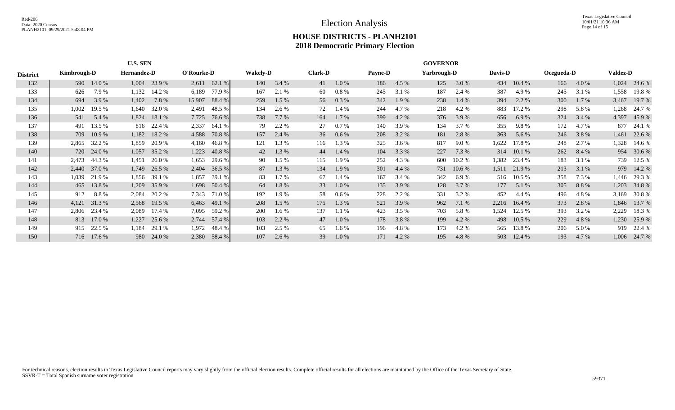|                 | <b>U.S. SEN</b> |            |             |        |        |                |     |                                   |     | <b>GOVERNOR</b> |                |       |             |          |       |          |     |            |       |                 |  |
|-----------------|-----------------|------------|-------------|--------|--------|----------------|-----|-----------------------------------|-----|-----------------|----------------|-------|-------------|----------|-------|----------|-----|------------|-------|-----------------|--|
| <b>District</b> | Kimbrough-D     |            | Hernandez-D |        |        | O'Rourke-D     |     | <b>Wakely-D</b><br><b>Clark-D</b> |     |                 | <b>Payne-D</b> |       | Yarbrough-D |          |       | Davis-D  |     | Ocegueda-D |       | <b>Valdez-D</b> |  |
| 132             |                 | 590 14.0 % | 1,004       | 23.9 % |        | $2,611$ 62.1 % | 140 | 3.4 %                             | 41  | 1.0%            | 186            | 4.5 % | 125         | 3.0 %    | 434   | 10.4 %   | 166 | 4.0 %      | 1,024 | 24.6 %          |  |
| 133             | 626             | 7.9 %      | 1,132       | 14.2 % | 6,189  | 77.9 %         | 167 | 2.1 %                             | 60  | 0.8 %           | 245            | 3.1 % | 187         | 2.4 %    | 387   | 4.9 %    | 245 | 3.1 %      | 1,558 | 19.8 %          |  |
| 134             | 694             | 3.9 %      | 1,402       | 7.8%   | 15,907 | 88.4 %         | 259 | $1.5\%$                           | 56  | $0.3\%$         | 342            | 1.9 % | 238         | 1.4 %    | 394   | 2.2 %    | 300 | $1.7\%$    | 3,467 | 19.7 %          |  |
| 135             | 1,002           | 19.5 %     | 1,640       | 32.0 % | 2,491  | 48.5 %         | 134 | 2.6 %                             | 72  | 1.4 %           | 244            | 4.7 % | 218         | 4.2 %    | 883   | 17.2 %   | 298 | 5.8 %      | 1,268 | 24.7 %          |  |
| 136             | 541             | 5.4 %      | 1,824       | 18.1 % | 7,725  | 76.6 %         | 738 | 7.7 %                             | 164 | 1.7 %           | 399            | 4.2 % | 376         | 3.9 %    | 656   | 6.9%     | 324 | 3.4 %      | 4,397 | 45.9%           |  |
| 137             | 491             | 13.5 %     | 816         | 22.4 % | 2,337  | 64.1 %         | 79  | 2.2 %                             | 27  | $0.7\%$         | 140            | 3.9 % | 134         | 3.7 %    | 355   | 9.8%     | 172 | 4.7 %      | 877   | 24.1 %          |  |
| 138             | 709             | 10.9 %     | 1,182       | 18.2 % | 4,588  | 70.8 %         | 157 | 2.4 %                             | 36  | $0.6\%$         | 208            | 3.2 % | 181         | 2.8%     | 363   | 5.6 %    | 246 | 3.8%       | 1,461 | 22.6 %          |  |
| 139             | 2,865           | 32.2 %     | 1,859       | 20.9%  | 4,160  | 46.8%          | 121 | 1.3 %                             | 116 | 1.3%            | 325            | 3.6 % | 817         | 9.0 %    | 1,622 | 17.8%    | 248 | 2.7 %      | 1,328 | 14.6 %          |  |
| 140             | 720             | 24.0 %     | 1,057       | 35.2 % | 1,223  | 40.8 %         | 42  | 1.3%                              | 44  | 1.4 %           | 104            | 3.3 % | 227         | 7.3 %    | 314   | 10.1%    | 262 | 8.4 %      |       | 954 30.6 %      |  |
| 141             | 2,473           | 44.3 %     | 1,451       | 26.0%  | 1,653  | 29.6 %         | 90  | $1.5\%$                           | 115 | 1.9 %           | 252            | 4.3 % | 600         | 10.2 %   | 1,382 | 23.4 %   | 183 | 3.1 %      |       | 739 12.5 %      |  |
| 142             | 2,440           | 37.0 %     | 1,749       | 26.5 % | 2,404  | 36.5 %         | 87  | 1.3 %                             | 134 | 1.9%            | 301            | 4.4 % | 731         | $10.6\%$ | 1,511 | 21.9 %   | 213 | 3.1 %      |       | 979 14.2 %      |  |
| 143             | 1,039           | 21.9 %     | 1,856       | 39.1 % | 1,857  | 39.1 %         | 83  | $1.7\%$                           | 67  | 1.4 %           | 167            | 3.4 % | 342         | 6.9%     | 516   | 10.5 %   | 358 | 7.3 %      |       | 1,446 29.3 %    |  |
| 144             | 465             | 13.8 %     | 1,209       | 35.9%  | 1,698  | 50.4 %         | 64  | 1.8%                              | 33  | 1.0%            | 135            | 3.9%  | 128         | 3.7 %    | 177   | 5.1 %    | 305 | 8.8%       |       | 1,203 34.8 %    |  |
| 145             | 912             | 8.8%       | 2,084       | 20.2 % | 7,343  | 71.0 %         | 192 | 1.9 %                             | 58  | $0.6\%$         | 228            | 2.2 % | 331         | 3.2 %    | 452   | 4.4 %    | 496 | 4.8%       | 3,169 | 30.8 %          |  |
| 146             | 4,121           | 31.3 %     | 2,568       | 19.5 % | 6,463  | 49.1 %         | 208 | 1.5 %                             | 175 | 1.3 %           | 521            | 3.9 % | 962         | 7.1 %    | 2,216 | 16.4%    | 373 | 2.8 %      |       | 1,846 13.7 %    |  |
| 147             | 2,806           | 23.4 %     | 2,089       | 17.4 % | 7,095  | 59.2 %         | 200 | $1.6\%$                           | 137 | 1.1%            | 423            | 3.5 % | 703         | 5.8 %    | 1,524 | 12.5 %   | 393 | 3.2 %      | 2,229 | 18.3 %          |  |
| 148             | 813             | 17.0 %     | 1,227       | 25.6 % | 2,744  | 57.4 %         | 103 | 2.2 %                             | 47  | $1.0\%$         | 178            | 3.8%  | 199         | 4.2 %    | 498   | $10.5\%$ | 229 | 4.8%       |       | 1,230 25.9 %    |  |
| 149             | 915             | 22.5 %     | 1,184       | 29.1 % | 1,972  | 48.4%          | 103 | 2.5 %                             | 65  | 1.6 %           | 196            | 4.8%  | 173         | 4.2 %    | 565   | 13.8%    | 206 | 5.0 %      |       | 919 22.4 %      |  |
| 150             |                 | 716 17.6 % | 980         | 24.0 % | 2,380  | 58.4 %         | 107 | 2.6 %                             | 39  | 1.0%            | 171            | 4.2 % | 195         | 4.8%     | 503   | 12.4 %   | 193 | 4.7 %      |       | 1,006 24.7 %    |  |